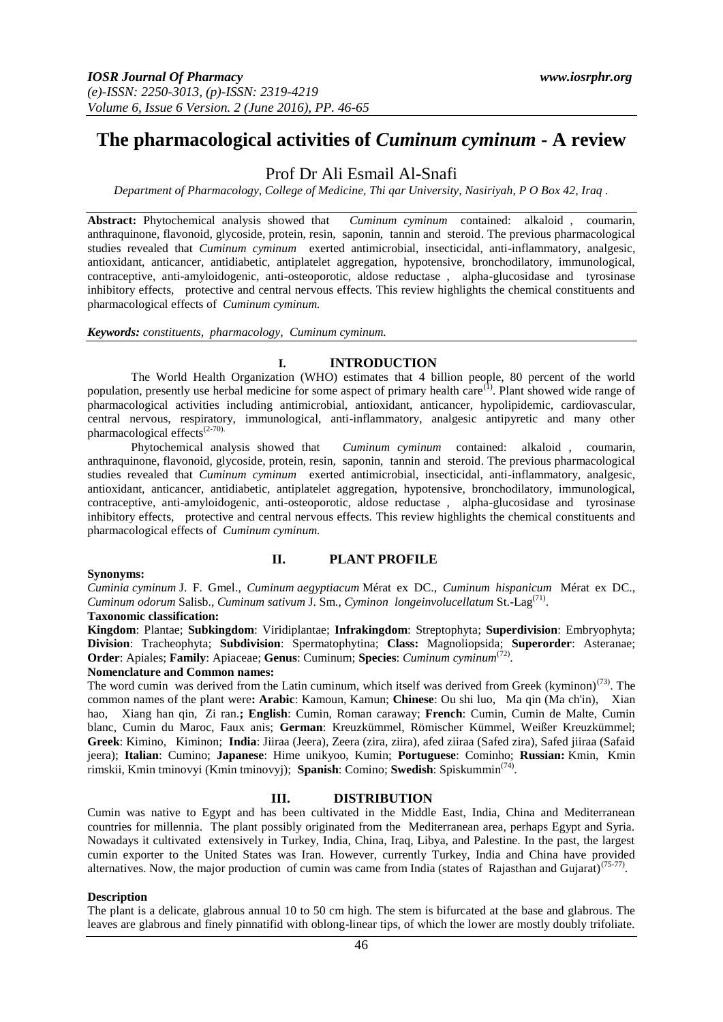# **The pharmacological activities of** *Cuminum cyminum* **- A review**

# Prof Dr Ali Esmail Al-Snafi

*Department of Pharmacology, College of Medicine, Thi qar University, Nasiriyah, P O Box 42, Iraq .* 

**Abstract:** Phytochemical analysis showed that *Cuminum cyminum* contained: alkaloid , coumarin, anthraquinone, flavonoid, glycoside, protein, resin, saponin, tannin and steroid. The previous pharmacological studies revealed that *Cuminum cyminum* exerted antimicrobial, insecticidal, anti-inflammatory, analgesic, antioxidant, anticancer, antidiabetic, antiplatelet aggregation, hypotensive, bronchodilatory, immunological, contraceptive, anti-amyloidogenic, anti-osteoporotic, aldose reductase , alpha-glucosidase and tyrosinase inhibitory effects, protective and central nervous effects. This review highlights the chemical constituents and pharmacological effects of *Cuminum cyminum.* 

*Keywords: constituents, pharmacology, Cuminum cyminum.* 

## **I. INTRODUCTION**

The World Health Organization (WHO) estimates that 4 billion people, 80 percent of the world population, presently use herbal medicine for some aspect of primary health care<sup>(1)</sup>. Plant showed wide range of pharmacological activities including antimicrobial, antioxidant, anticancer, hypolipidemic, cardiovascular, central nervous, respiratory, immunological, anti-inflammatory, analgesic antipyretic and many other pharmacological effects<sup>(2-70)</sup>.

Phytochemical analysis showed that *Cuminum cyminum* contained: alkaloid , coumarin, anthraquinone, flavonoid, glycoside, protein, resin, saponin, tannin and steroid. The previous pharmacological studies revealed that *Cuminum cyminum* exerted antimicrobial, insecticidal, anti-inflammatory, analgesic, antioxidant, anticancer, antidiabetic, antiplatelet aggregation, hypotensive, bronchodilatory, immunological, contraceptive, anti-amyloidogenic, anti-osteoporotic, aldose reductase , alpha-glucosidase and tyrosinase inhibitory effects, protective and central nervous effects. This review highlights the chemical constituents and pharmacological effects of *Cuminum cyminum.* 

## **II. PLANT PROFILE**

#### **Synonyms:**

*Cuminia cyminum* [J. F. Gmel.,](http://www.theplantlist.org/tpl/record/kew-2747354) *Cuminum aegyptiacum* [Mérat ex DC.,](http://www.theplantlist.org/tpl/record/kew-2747358) *Cuminum hispanicum* [Mérat ex DC.,](http://www.theplantlist.org/tpl/record/kew-2747365) *[Cuminum](http://www.theplantlist.org/tpl/record/kew-2747368) odorum* Salisb., *[Cuminum](http://www.theplantlist.org/tpl/record/kew-2747372) sativum* J. Sm., *Cyminon [longeinvolucellatum](http://www.theplantlist.org/tpl/record/kew-2750643)* St.-Lag(71) .

## **Taxonomic classification:**

**Kingdom**: [Plantae;](http://www.itis.gov/servlet/SingleRpt/SingleRpt?search_topic=TSN&search_value=202422) **Subkingdom**: [Viridiplantae;](http://www.itis.gov/servlet/SingleRpt/SingleRpt?search_topic=TSN&search_value=954898) **Infrakingdom**: [Streptophyta;](http://www.itis.gov/servlet/SingleRpt/SingleRpt?search_topic=TSN&search_value=846494) **Superdivision**: [Embryophyta;](http://www.itis.gov/servlet/SingleRpt/SingleRpt?search_topic=TSN&search_value=954900) **Division**: [Tracheophyta;](http://www.itis.gov/servlet/SingleRpt/SingleRpt?search_topic=TSN&search_value=846496) **Subdivision**: [Spermatophytina;](http://www.itis.gov/servlet/SingleRpt/SingleRpt?search_topic=TSN&search_value=846504) **Class:** [Magnoliopsida;](http://www.itis.gov/servlet/SingleRpt/SingleRpt?search_topic=TSN&search_value=18063) **Superorder**: [Asteranae;](http://www.itis.gov/servlet/SingleRpt/SingleRpt?search_topic=TSN&search_value=846535) **Order**: [Apiales;](http://www.itis.gov/servlet/SingleRpt/SingleRpt?search_topic=TSN&search_value=500017) **Family**: [Apiaceae;](http://www.itis.gov/servlet/SingleRpt/SingleRpt?search_topic=TSN&search_value=500042) **Genus**: [Cuminum;](http://www.itis.gov/servlet/SingleRpt/SingleRpt?search_topic=TSN&search_value=500226) **Species**: *Cuminum cyminum*(72) .

#### **Nomenclature and Common names:**

The word cumin was derived from the Latin cuminum, which itself was derived from Greek (kyminon)<sup>(73)</sup>. The common names of the plant were**: Arabic**: Kamoun, Kamun; **Chinese**: Ou shi luo, Ma qin (Ma ch'in), Xian hao, Xiang han qin, Zi ran.**; English**: Cumin, Roman caraway; **French**: Cumin, Cumin de Malte, Cumin blanc, Cumin du Maroc, Faux anis; **German**: Kreuzkümmel, Römischer Kümmel, Weißer Kreuzkümmel; **Greek**: Kimino, Kiminon; **India**: Jiiraa (Jeera), Zeera (zira, ziira), afed ziiraa (Safed zira), Safed jiiraa (Safaid jeera); **Italian**: Cumino; **Japanese**: Hime unikyoo, Kumin; **Portuguese**: Cominho; **Russian:** Kmin, Kmin rimskii, Kmin tminovyi (Kmin tminovyj); **Spanish**: Comino; **Swedish**: Spiskummin(74) .

## **III. DISTRIBUTION**

Cumin was native to Egypt and has been cultivated in the Middle East, India, China and Mediterranean countries for millennia. The plant possibly originated from the Mediterranean area, perhaps Egypt and Syria. Nowadays it cultivated extensively in Turkey, India, China, Iraq, Libya, and Palestine. In the past, the largest cumin exporter to the United States was Iran. However, currently Turkey, India and China have provided alternatives. Now, the major production of cumin was came from India (states of Rajasthan and Gujarat)<sup>(75-77)</sup>.

#### **Description**

The plant is a delicate, glabrous annual 10 to 50 cm high. The stem is bifurcated at the base and glabrous. The leaves are glabrous and finely pinnatifid with oblong-linear tips, of which the lower are mostly doubly trifoliate.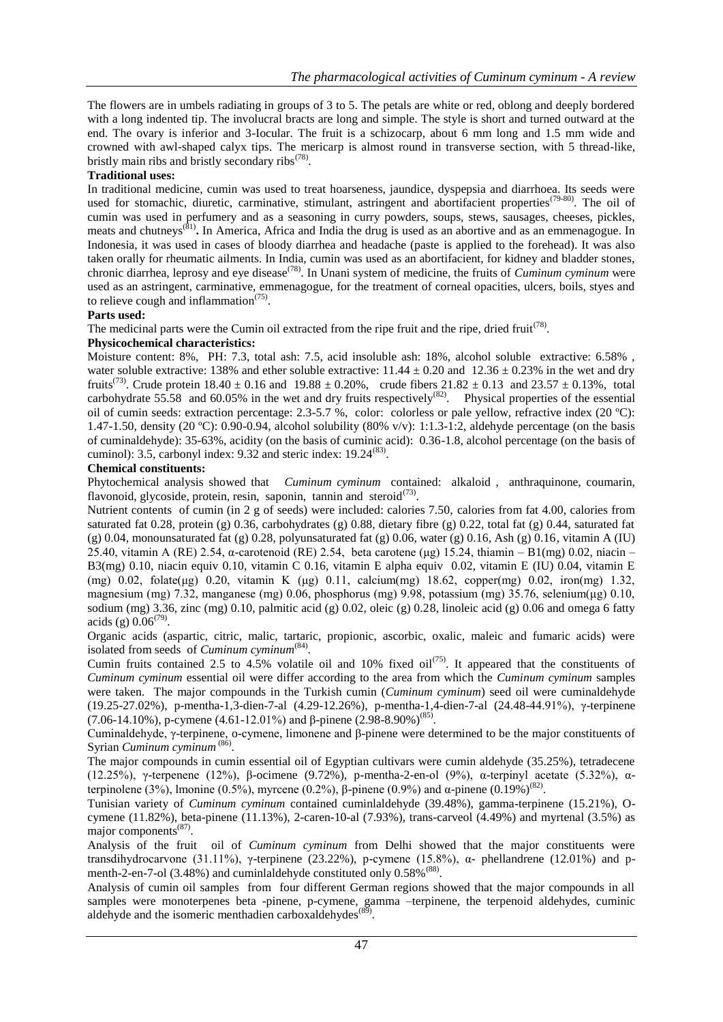The flowers are in umbels radiating in groups of 3 to 5. The petals are white or red, oblong and deeply bordered with a long indented tip. The involucral bracts are long and simple. The style is short and turned outward at the end. The ovary is inferior and 3-Iocular. The fruit is a schizocarp, about 6 mm long and 1.5 mm wide and crowned with awl-shaped calyx tips. The mericarp is almost round in transverse section, with 5 thread-like, bristly main ribs and bristly secondary ribs<sup>(78)</sup>.

## **Traditional uses:**

In traditional medicine, cumin was used to treat hoarseness, jaundice, dyspepsia and diarrhoea. Its seeds were used for stomachic, diuretic, carminative, stimulant, astringent and abortifacient properties<sup>(79-80)</sup>. The oil of cumin was used in perfumery and as a seasoning in curry powders, soups, stews, sausages, cheeses, pickles, meats and chutneys<sup>(81)</sup>. In America, Africa and India the drug is used as an abortive and as an emmenagogue. In Indonesia, it was used in cases of bloody diarrhea and headache (paste is applied to the forehead). It was also taken orally for rheumatic ailments. In India, cumin was used as an abortifacient, for kidney and bladder stones, chronic diarrhea, leprosy and eye disease<sup>(78)</sup>. In Unani system of medicine, the fruits of *Cuminum cyminum* were used as an astringent, carminative, emmenagogue, for the treatment of corneal opacities, ulcers, boils, styes and to relieve cough and inflammation $(75)$ .

## **Parts used:**

The medicinal parts were the Cumin oil extracted from the ripe fruit and the ripe, dried fruit<sup>(78)</sup>.

## **Physicochemical characteristics:**

Moisture content: 8%, PH: 7.3, total ash: 7.5, acid insoluble ash: 18%, alcohol soluble extractive: 6.58% , water soluble extractive: 138% and ether soluble extractive:  $11.44 \pm 0.20$  and  $12.36 \pm 0.23$ % in the wet and dry fruits<sup>(73)</sup>. Crude protein  $18.40 \pm 0.16$  and  $19.88 \pm 0.20$ %, crude fibers  $21.82 \pm 0.13$  and  $23.57 \pm 0.13$ %, total carbohydrate  $55.58$  and  $60.05\%$  in the wet and dry fruits respectively<sup>(82)</sup>. Physical properties of the essential oil of cumin seeds: extraction percentage: 2.3-5.7 %, color: colorless or pale yellow, refractive index (20 ºC): 1.47-1.50, density (20 °C): 0.90-0.94, alcohol solubility (80% v/v): 1:1.3-1:2, aldehyde percentage (on the basis of cuminaldehyde): 35-63%, acidity (on the basis of cuminic acid): 0.36-1.8, alcohol percentage (on the basis of cuminol): 3.5, carbonyl index: 9.32 and steric index:  $19.24^{(83)}$ .

## **Chemical constituents:**

Phytochemical analysis showed that *Cuminum cyminum* contained: alkaloid , anthraquinone, coumarin, flavonoid, glycoside, protein, resin, saponin, tannin and steroid $^{(73)}$ .

Nutrient contents of cumin (in 2 g of seeds) were included: calories 7.50, calories from fat 4.00, calories from saturated fat 0.28, protein (g) 0.36, carbohydrates (g) 0.88, dietary fibre (g) 0.22, total fat (g) 0.44, saturated fat  $(g)$  0.04, monounsaturated fat  $(g)$  0.28, polyunsaturated fat  $(g)$  0.06, water  $(g)$  0.16, Ash  $(g)$  0.16, vitamin A (IU) 25.40, vitamin A (RE) 2.54, α-carotenoid (RE) 2.54, beta carotene (μg) 15.24, thiamin – B1(mg) 0.02, niacin – B3(mg) 0.10, niacin equiv 0.10, vitamin C 0.16, vitamin E alpha equiv 0.02, vitamin E (IU) 0.04, vitamin E (mg) 0.02, folate(μg) 0.20, vitamin K (μg) 0.11, calcium(mg) 18.62, copper(mg) 0.02, iron(mg) 1.32, magnesium (mg) 7.32, manganese (mg) 0.06, phosphorus (mg) 9.98, potassium (mg) 35.76, selenium(μg) 0.10, sodium (mg) 3.36, zinc (mg) 0.10, palmitic acid (g) 0.02, oleic (g) 0.28, linoleic acid (g) 0.06 and omega 6 fatty acids (g)  $0.06^{(79)}$ .

Organic acids (aspartic, citric, malic, tartaric, propionic, ascorbic, oxalic, maleic and fumaric acids) were isolated from seeds of *Cuminum cyminum*<sup>(84)</sup>.

Cumin fruits contained 2.5 to  $4.5\%$  volatile oil and 10% fixed oil<sup>(75)</sup>. It appeared that the constituents of *Cuminum cyminum* essential oil were differ according to the area from which the *Cuminum cyminum* samples were taken. The major compounds in the Turkish cumin (*Cuminum cyminum*) seed oil were cuminaldehyde (19.25-27.02%), p-mentha-1,3-dien-7-al (4.29-12.26%), p-mentha-1,4-dien-7-al (24.48-44.91%), γ-terpinene  $(7.06-14.10%)$ , p-cymene  $(4.61-12.01%)$  and β-pinene  $(2.98-8.90%)^{(85)}$ .

Cuminaldehyde, γ-terpinene, o-cymene, limonene and β-pinene were determined to be the major constituents of Syrian *Cuminum cyminum*<sup>(86)</sup>.

The major compounds in cumin essential oil of Egyptian cultivars were cumin aldehyde (35.25%), tetradecene (12.25%), γ-terpenene (12%), β-ocimene (9.72%), p-mentha-2-en-ol (9%), α-terpinyl acetate (5.32%), αterpinolene (3%), lmonine (0.5%), myrcene (0.2%), β-pinene (0.9%) and α-pinene (0.19%)<sup>(82)</sup>.

Tunisian variety of *Cuminum cyminum* contained cuminlaldehyde (39.48%), gamma-terpinene (15.21%), Ocymene (11.82%), beta-pinene (11.13%), 2-caren-10-al (7.93%), trans-carveol (4.49%) and myrtenal (3.5%) as major components<sup>(87)</sup>.

Analysis of the fruit oil of *Cuminum cyminum* from Delhi showed that the major constituents were transdihydrocarvone (31.11%), γ-terpinene (23.22%), p-cymene (15.8%), α- phellandrene (12.01%) and pmenth-2-en-7-ol (3.48%) and cuminlaldehyde constituted only 0.58%<sup>(88)</sup>.

Analysis of cumin oil samples from four different German regions showed that the major compounds in all samples were monoterpenes beta -pinene, p-cymene, gamma -terpinene, the terpenoid aldehydes, cuminic aldehyde and the isomeric menthadien carboxaldehydes<sup>(89)</sup>.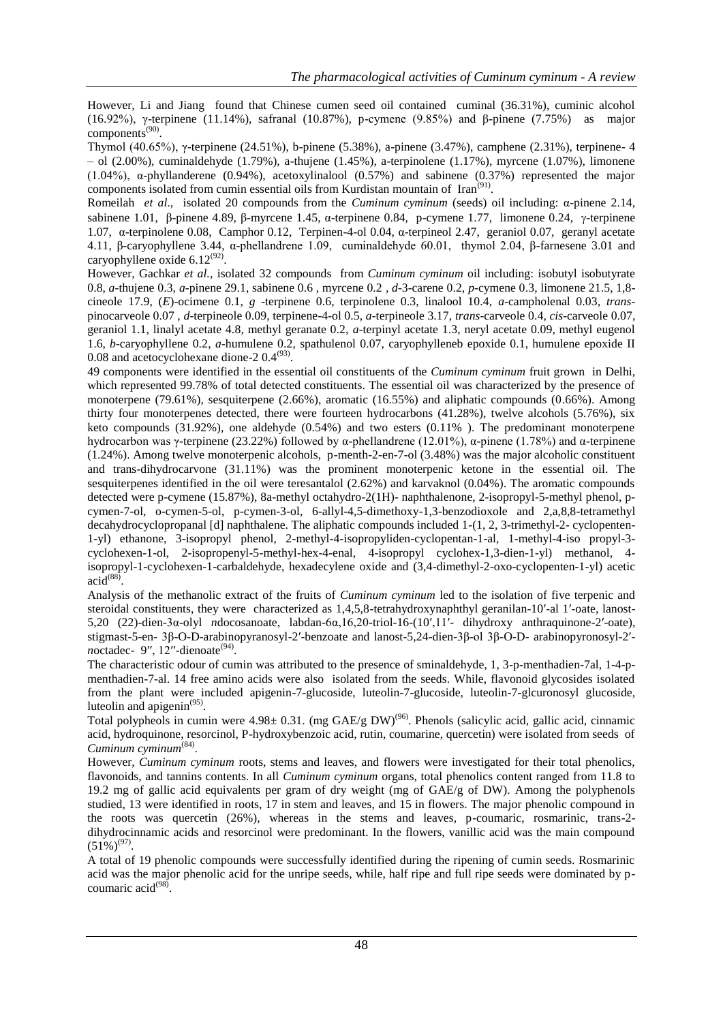However, Li and Jiang found that Chinese cumen seed oil contained cuminal (36.31%), cuminic alcohol (16.92%), γ-terpinene (11.14%), safranal (10.87%), p-cymene (9.85%) and β-pinene (7.75%) as major components<sup>(90)</sup>.

Thymol (40.65%), γ-terpinene (24.51%), b-pinene (5.38%), a-pinene (3.47%), camphene (2.31%), terpinene- 4 – ol (2.00%), cuminaldehyde (1.79%), a-thujene (1.45%), a-terpinolene (1.17%), myrcene (1.07%), limonene (1.04%), α-phyllanderene (0.94%), acetoxylinalool (0.57%) and sabinene (0.37%) represented the major components isolated from cumin essential oils from Kurdistan mountain of Iran<sup>(91)</sup>.

Romeilah *et al*., isolated 20 compounds from the *Cuminum cyminum* (seeds) oil including: α-pinene 2.14, sabinene 1.01, β-pinene 4.89, β-myrcene 1.45, α-terpinene 0.84, p-cymene 1.77, limonene 0.24, γ-terpinene 1.07, α-terpinolene 0.08, Camphor 0.12, Terpinen-4-ol 0.04, α-terpineol 2.47, geraniol 0.07, geranyl acetate 4.11, β-caryophyllene 3.44, α-phellandrene 1.09, cuminaldehyde 60.01, thymol 2.04, β-farnesene 3.01 and caryophyllene oxide  $6.12^{(92)}$ .

However, Gachkar *et al.,* isolated 32 compounds from *Cuminum cyminum* oil including: isobutyl isobutyrate 0.8, *a*-thujene 0.3, *a*-pinene 29.1, sabinene 0.6 , myrcene 0.2 *, d*-3-carene 0.2, *p*-cymene 0.3, limonene 21.5, 1,8 cineole 17.9, (*E*)-ocimene 0.1, *g* -terpinene 0.6, terpinolene 0.3, linalool 10.4, *a*-campholenal 0.03, *trans*pinocarveole 0.07 , *d*-terpineole 0.09, terpinene-4-ol 0.5, *a*-terpineole 3.17, *trans*-carveole 0.4, *cis*-carveole 0.07, geraniol 1.1, linalyl acetate 4.8, methyl geranate 0.2, *a*-terpinyl acetate 1.3, neryl acetate 0.09, methyl eugenol 1.6, *b*-caryophyllene 0.2, *a*-humulene 0.2, spathulenol 0.07, caryophylleneb epoxide 0.1, humulene epoxide II  $0.08$  and acetocyclohexane dione-2  $0.4<sup>(93)</sup>$ .

49 components were identified in the essential oil constituents of the *Cuminum cyminum* fruit grown in Delhi, which represented 99.78% of total detected constituents. The essential oil was characterized by the presence of monoterpene (79.61%), sesquiterpene (2.66%), aromatic (16.55%) and aliphatic compounds (0.66%). Among thirty four monoterpenes detected, there were fourteen hydrocarbons (41.28%), twelve alcohols (5.76%), six keto compounds (31.92%), one aldehyde (0.54%) and two esters (0.11% ). The predominant monoterpene hydrocarbon was γ-terpinene (23.22%) followed by α-phellandrene (12.01%), α-pinene (1.78%) and α-terpinene (1.24%). Among twelve monoterpenic alcohols, p-menth-2-en-7-ol (3.48%) was the major alcoholic constituent and trans-dihydrocarvone (31.11%) was the prominent monoterpenic ketone in the essential oil. The sesquiterpenes identified in the oil were teresantalol (2.62%) and karvaknol (0.04%). The aromatic compounds detected were p-cymene (15.87%), 8a-methyl octahydro-2(1H)- naphthalenone, 2-isopropyl-5-methyl phenol, pcymen-7-ol, o-cymen-5-ol, p-cymen-3-ol, 6-allyl-4,5-dimethoxy-1,3-benzodioxole and 2,a,8,8-tetramethyl decahydrocyclopropanal [d] naphthalene. The aliphatic compounds included 1-(1, 2, 3-trimethyl-2- cyclopenten-1-yl) ethanone, 3-isopropyl phenol, 2-methyl-4-isopropyliden-cyclopentan-1-al, 1-methyl-4-iso propyl-3 cyclohexen-1-ol, 2-isopropenyl-5-methyl-hex-4-enal, 4-isopropyl cyclohex-1,3-dien-1-yl) methanol, 4 isopropyl-1-cyclohexen-1-carbaldehyde, hexadecylene oxide and (3,4-dimethyl-2-oxo-cyclopenten-1-yl) acetic  $\arcdots$   $\arccos$   $\arccos$   $\arccos$   $\arccos$   $\arccos$   $\arccos$   $\arccos$   $\arccos$   $\arccos$   $\arccos$   $\arccos$   $\arccos$   $\arccos$   $\arccos$   $\arccos$   $\arccos$   $\arccos$   $\arccos$   $\arccos$   $\arccos$   $\arccos$   $\arccos$   $\arccos$   $\arccos$   $\arccos$   $\arccos$   $\arccos$   $\arccos$   $\arccos$   $\arccos$   $\arcc$ 

Analysis of the methanolic extract of the fruits of *Cuminum cyminum* led to the isolation of five terpenic and steroidal constituents, they were characterized as 1,4,5,8-tetrahydroxynaphthyl geranilan-10′-al 1′-oate, lanost-5,20 (22)-dien-3α-olyl *n*docosanoate, labdan-6α,16,20-triol-16-(10ʹ,11ʹ- dihydroxy anthraquinone-2ʹ-oate), stigmast-5-en- 3β-O-D-arabinopyranosyl-2ʹ-benzoate and lanost-5,24-dien-3β-ol 3β-O-D- arabinopyronosyl-2ʹ $n$ octadec- 9", 12"-dienoate<sup>(94)</sup>.

The characteristic odour of cumin was attributed to the presence of sminaldehyde, 1, 3-p-menthadien-7al, 1-4-pmenthadien-7-al. 14 free amino acids were also isolated from the seeds. While, flavonoid glycosides isolated from the plant were included apigenin-7-glucoside, luteolin-7-glucoside, luteolin-7-glcuronosyl glucoside, luteolin and apigenin $^{(95)}$ .

Total polypheols in cumin were  $4.98 \pm 0.31$ . (mg GAE/g DW)<sup>(96)</sup>. Phenols (salicylic acid, gallic acid, cinnamic acid, hydroquinone, resorcinol, P-hydroxybenzoic acid, rutin, coumarine, quercetin) were isolated from seeds of *Cuminum cyminum*(84) .

However, *Cuminum cyminum* roots, stems and leaves, and flowers were investigated for their total phenolics, flavonoids, and tannins contents. In all *Cuminum cyminum* organs, total phenolics content ranged from 11.8 to 19.2 mg of gallic acid equivalents per gram of dry weight (mg of GAE/g of DW). Among the polyphenols studied, 13 were identified in roots, 17 in stem and leaves, and 15 in flowers. The major phenolic compound in the roots was quercetin (26%), whereas in the stems and leaves, p-coumaric, rosmarinic, trans-2 dihydrocinnamic acids and resorcinol were predominant. In the flowers, vanillic acid was the main compound  $(51\%)^{(97)}$ .

A total of 19 phenolic compounds were successfully identified during the ripening of cumin seeds. Rosmarinic acid was the major phenolic acid for the unripe seeds, while, half ripe and full ripe seeds were dominated by pcoumaric acid<sup>(98)</sup>.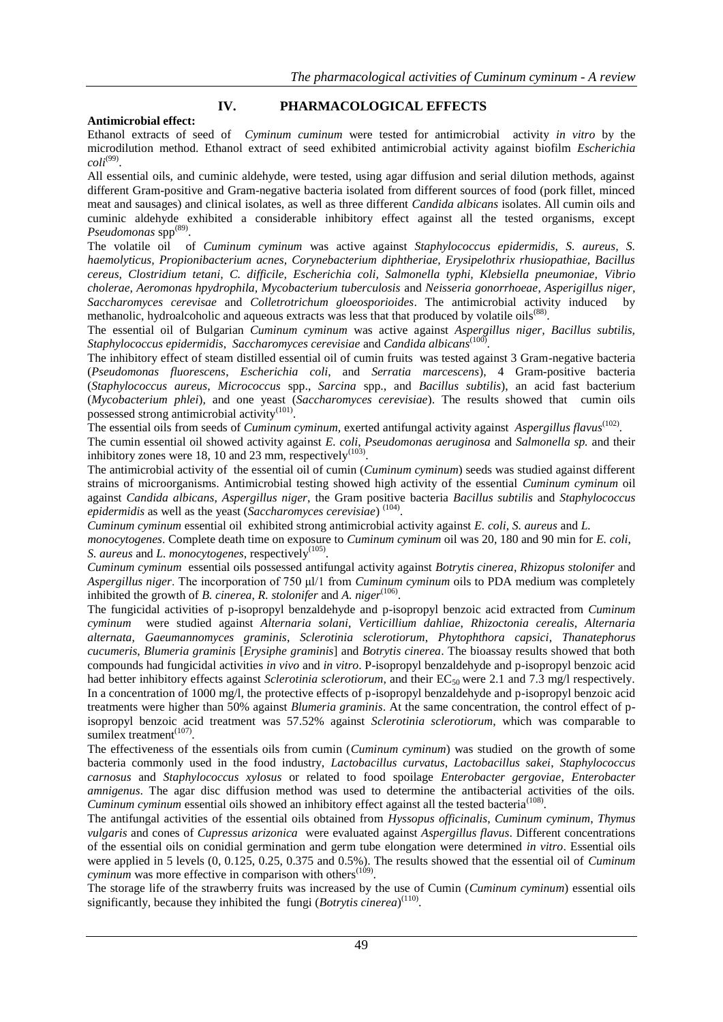## **IV. PHARMACOLOGICAL EFFECTS**

## **Antimicrobial effect:**

Ethanol extracts of seed of *Cyminum cuminum* were tested for antimicrobial activity *in vitro* by the microdilution method. Ethanol extract of seed exhibited antimicrobial activity against biofilm *Escherichia*   $\text{coli}^{(99)}$ .

All essential oils, and cuminic aldehyde, were tested, using agar diffusion and serial dilution methods, against different Gram-positive and Gram-negative bacteria isolated from different sources of food (pork fillet, minced meat and sausages) and clinical isolates, as well as three different *Candida albicans* isolates. All cumin oils and cuminic aldehyde exhibited a considerable inhibitory effect against all the tested organisms, except Pseudomonas spp<sup>(89)</sup>.

The volatile oil of *Cuminum cyminum* was active against *Staphylococcus epidermidis, S. aureus, S. haemolyticus, Propionibacterium acnes, Corynebacterium diphtheriae, Erysipelothrix rhusiopathiae, Bacillus cereus, Clostridium tetani, C. difficile, Escherichia coli, Salmonella typhi, Klebsiella pneumoniae, Vibrio cholerae, Aeromonas hpydrophila, Mycobacterium tuberculosis* and *Neisseria gonorrhoeae*, *Asperigillus niger, Saccharomyces cerevisae* and *Colletrotrichum gloeosporioides*. The antimicrobial activity induced by methanolic, hydroalcoholic and aqueous extracts was less that that produced by volatile oils<sup>(88)</sup>.

The essential oil of Bulgarian *Cuminum cyminum* was active against *Aspergillus niger, Bacillus subtilis, Staphylococcus epidermidis*, *Saccharomyces cerevisiae* and *Candida albicans*(100) .

The inhibitory effect of steam distilled essential oil of cumin fruits was tested against 3 Gram-negative bacteria (*Pseudomonas fluorescens*, *Escherichia coli*, and *Serratia marcescens*), 4 Gram-positive bacteria (*Staphylococcus aureus*, *Micrococcus* spp., *Sarcina* spp., and *Bacillus subtilis*), an acid fast bacterium (*Mycobacterium phlei*), and one yeast (*Saccharomyces cerevisiae*). The results showed that cumin oils possessed strong antimicrobial activity<sup>(101)</sup>.

The essential oils from seeds of *Cuminum cyminum*, exerted antifungal activity against *Aspergillus flavus*<sup>(102)</sup>.

The cumin essential oil showed activity against *E. coli*, *Pseudomonas aeruginosa* and *Salmonella sp.* and their inhibitory zones were 18, 10 and 23 mm, respectively<sup>(103)</sup>.

The antimicrobial activity of the essential oil of cumin (*Cuminum cyminum*) seeds was studied against different strains of microorganisms. Antimicrobial testing showed high activity of the essential *Cuminum cyminum* oil against *Candida albicans*, *Aspergillus niger*, the Gram positive bacteria *Bacillus subtilis* and *Staphylococcus*  epidermidis as well as the yeast (*Saccharomyces cerevisiae*)<sup>(104)</sup>.

*Cuminum cyminum* essential oil exhibited strong antimicrobial activity against *E. coli*, *S. aureus* and *L.* 

*monocytogenes*. Complete death time on exposure to *Cuminum cyminum* oil was 20, 180 and 90 min for *E. coli*, S. aureus and *L. monocytogenes*, respectively<sup>(105)</sup>.

*Cuminum cyminum* essential oils possessed antifungal activity against *Botrytis cinerea*, *Rhizopus stolonifer* and *Aspergillus niger*. The incorporation of 750 μl/1 from *Cuminum cyminum* oils to PDA medium was completely inhibited the growth of *B. cinerea, R. stolonifer* and *A. niger*<sup>(106)</sup>.

The fungicidal activities of p-isopropyl benzaldehyde and p-isopropyl benzoic acid extracted from *Cuminum cyminum* were studied against *Alternaria solani*, *Verticillium dahliae*, *Rhizoctonia cerealis*, *Alternaria alternata*, *Gaeumannomyces graminis*, *Sclerotinia sclerotiorum*, *Phytophthora capsici*, *Thanatephorus cucumeris*, *Blumeria graminis* [*Erysiphe graminis*] and *Botrytis cinerea*. The bioassay results showed that both compounds had fungicidal activities *in vivo* and *in vitro*. P-isopropyl benzaldehyde and p-isopropyl benzoic acid had better inhibitory effects against *Sclerotinia sclerotiorum*, and their EC<sub>50</sub> were 2.1 and 7.3 mg/l respectively. In a concentration of 1000 mg/l, the protective effects of p-isopropyl benzaldehyde and p-isopropyl benzoic acid treatments were higher than 50% against *Blumeria graminis*. At the same concentration, the control effect of pisopropyl benzoic acid treatment was 57.52% against *Sclerotinia sclerotiorum*, which was comparable to sumilex treatment $(107)$ .

The effectiveness of the essentials oils from cumin (*Cuminum cyminum*) was studied on the growth of some bacteria commonly used in the food industry, *Lactobacillus curvatus*, *Lactobacillus sakei*, *Staphylococcus carnosus* and *Staphylococcus xylosus* or related to food spoilage *Enterobacter gergoviae*, *Enterobacter amnigenus*. The agar disc diffusion method was used to determine the antibacterial activities of the oils. Cuminum cyminum essential oils showed an inhibitory effect against all the tested bacteria<sup>(108)</sup>.

The antifungal activities of the essential oils obtained from *Hyssopus officinalis*, *Cuminum cyminum*, *Thymus vulgaris* and cones of *Cupressus arizonica* were evaluated against *Aspergillus flavus*. Different concentrations of the essential oils on conidial germination and germ tube elongation were determined *in vitro*. Essential oils were applied in 5 levels (0, 0.125, 0.25, 0.375 and 0.5%). The results showed that the essential oil of *Cuminum*   $c$ *yminum* was more effective in comparison with others<sup> $(109)$ </sup>.

The storage life of the strawberry fruits was increased by the use of Cumin (*Cuminum cyminum*) essential oils significantly, because they inhibited the fungi (*Botrytis cinerea*)<sup>(110)</sup>.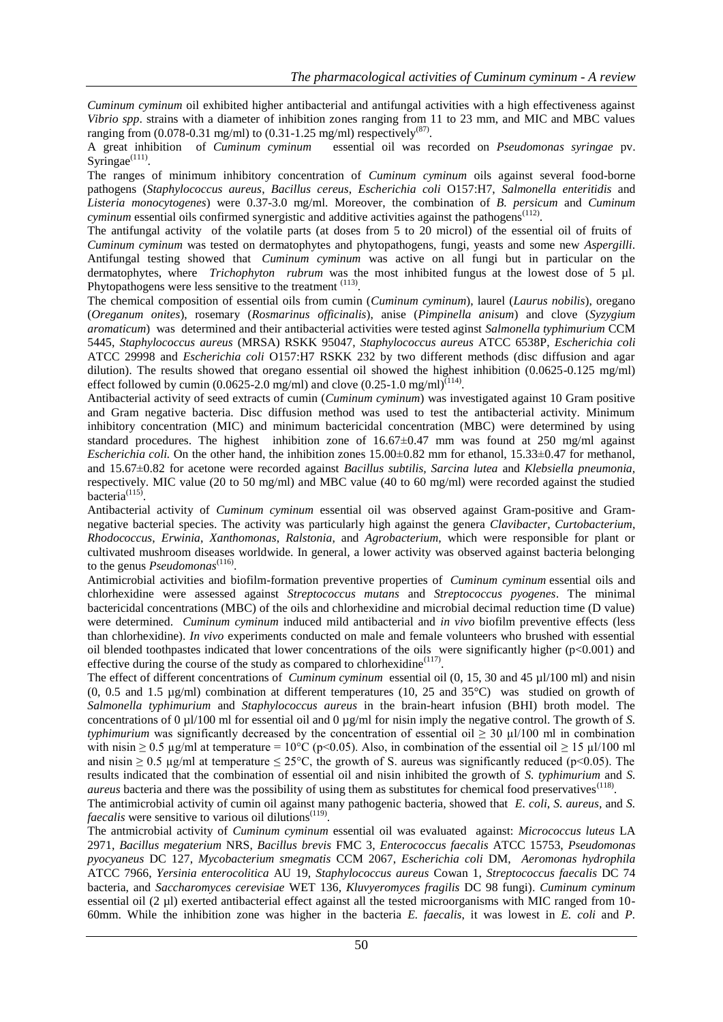*Cuminum cyminum* oil exhibited higher antibacterial and antifungal activities with a high effectiveness against *Vibrio spp*. strains with a diameter of inhibition zones ranging from 11 to 23 mm, and MIC and MBC values ranging from  $(0.078-0.31 \text{ mg/ml})$  to  $(0.31-1.25 \text{ mg/ml})$  respectively<sup>(87)</sup>.

A great inhibition of *Cuminum cyminum* essential oil was recorded on *Pseudomonas syringae* pv. Syringae $^{(111)}$ .

The ranges of minimum inhibitory concentration of *Cuminum cyminum* oils against several food-borne pathogens (*Staphylococcus aureus*, *Bacillus cereus*, *Escherichia coli* O157:H7, *Salmonella enteritidis* and *Listeria monocytogenes*) were 0.37-3.0 mg/ml. Moreover, the combination of *B. persicum* and *Cuminum*  cyminum essential oils confirmed synergistic and additive activities against the pathogens<sup>(112)</sup>.

The antifungal activity of the volatile parts (at doses from 5 to 20 microl) of the essential oil of fruits of *Cuminum cyminum* was tested on dermatophytes and phytopathogens, fungi, yeasts and some new *Aspergilli*. Antifungal testing showed that *Cuminum cyminum* was active on all fungi but in particular on the dermatophytes, where *Trichophyton rubrum* was the most inhibited fungus at the lowest dose of 5 µl. Phytopathogens were less sensitive to the treatment <sup>(113)</sup>.

The chemical composition of essential oils from cumin (*Cuminum cyminum*), laurel (*Laurus nobilis*), oregano (*Oreganum onites*), rosemary (*Rosmarinus officinalis*), anise (*Pimpinella anisum*) and clove (*Syzygium aromaticum*) was determined and their antibacterial activities were tested aginst *Salmonella typhimurium* CCM 5445, *Staphylococcus aureus* (MRSA) RSKK 95047, *Staphylococcus aureus* ATCC 6538P, *Escherichia coli*  ATCC 29998 and *Escherichia coli* O157:H7 RSKK 232 by two different methods (disc diffusion and agar dilution). The results showed that oregano essential oil showed the highest inhibition (0.0625-0.125 mg/ml) effect followed by cumin (0.0625-2.0 mg/ml) and clove (0.25-1.0 mg/ml)<sup> $(114)$ </sup>.

Antibacterial activity of seed extracts of cumin (*Cuminum cyminum*) was investigated against 10 Gram positive and Gram negative bacteria. Disc diffusion method was used to test the antibacterial activity. Minimum inhibitory concentration (MIC) and minimum bactericidal concentration (MBC) were determined by using standard procedures. The highest inhibition zone of  $16.67\pm0.47$  mm was found at 250 mg/ml against *Escherichia coli.* On the other hand, the inhibition zones 15.00±0.82 mm for ethanol, 15.33±0.47 for methanol, and 15.67±0.82 for acetone were recorded against *Bacillus subtilis, Sarcina lutea* and *Klebsiella pneumonia,*  respectively. MIC value (20 to 50 mg/ml) and MBC value (40 to 60 mg/ml) were recorded against the studied bacteria $(115)$ .

Antibacterial activity of *Cuminum cyminum* essential oil was observed against Gram-positive and Gramnegative bacterial species. The activity was particularly high against the genera *Clavibacter*, *Curtobacterium*, *Rhodococcus*, *Erwinia*, *Xanthomonas*, *Ralstonia*, and *Agrobacterium*, which were responsible for plant or cultivated mushroom diseases worldwide. In general, a lower activity was observed against bacteria belonging to the genus *Pseudomonas*<sup>(116)</sup>.

Antimicrobial activities and biofilm-formation preventive properties of *Cuminum cyminum* essential oils and chlorhexidine were assessed against *Streptococcus mutans* and *Streptococcus pyogenes*. The minimal bactericidal concentrations (MBC) of the oils and chlorhexidine and microbial decimal reduction time (D value) were determined. *Cuminum cyminum* induced mild antibacterial and *in vivo* biofilm preventive effects (less than chlorhexidine). *In vivo* experiments conducted on male and female volunteers who brushed with essential oil blended toothpastes indicated that lower concentrations of the oils were significantly higher (p<0.001) and effective during the course of the study as compared to chlorhexidine $(117)$ .

The effect of different concentrations of *Cuminum cyminum* essential oil (0, 15, 30 and 45 µl/100 ml) and nisin (0, 0.5 and 1.5 µg/ml) combination at different temperatures (10, 25 and 35°C) was studied on growth of *Salmonella typhimurium* and *Staphylococcus aureus* in the brain-heart infusion (BHI) broth model. The concentrations of 0 µl/100 ml for essential oil and 0 µg/ml for nisin imply the negative control. The growth of *S. typhimurium* was significantly decreased by the concentration of essential oil  $\geq 30 \mu$ l/100 ml in combination with nisin  $\geq 0.5$  µg/ml at temperature = 10°C (p<0.05). Also, in combination of the essential oil  $\geq 15$  µl/100 ml and nisin  $\geq 0.5$  µg/ml at temperature  $\leq 25^{\circ}\text{C}$ , the growth of S. aureus was significantly reduced (p<0.05). The results indicated that the combination of essential oil and nisin inhibited the growth of *S. typhimurium* and *S. aureus* bacteria and there was the possibility of using them as substitutes for chemical food preservatives<sup>(118)</sup>.

The antimicrobial activity of cumin oil against many pathogenic bacteria, showed that *E. coli*, *S. aureus,* and *S. faecalis* were sensitive to various oil dilutions<sup>(119)</sup>.

The antmicrobial activity of *Cuminum cyminum* essential oil was evaluated against: *Micrococcus luteus* LA 2971, *Bacillus megaterium* NRS, *Bacillus brevis* FMC 3, *Enterococcus faecalis* ATCC 15753, *Pseudomonas pyocyaneus* DC 127, *Mycobacterium smegmatis* CCM 2067, *Escherichia coli* DM, *Aeromonas hydrophila* ATCC 7966, *Yersinia enterocolitica* AU 19, *Staphylococcus aureus* Cowan 1, *Streptococcus faecalis* DC 74 bacteria, and *Saccharomyces cerevisiae* WET 136, *Kluvyeromyces fragilis* DC 98 fungi). *Cuminum cyminum* essential oil (2 µl) exerted antibacterial effect against all the tested microorganisms with MIC ranged from 10- 60mm. While the inhibition zone was higher in the bacteria *E. faecalis*, it was lowest in *E. coli* and *P.*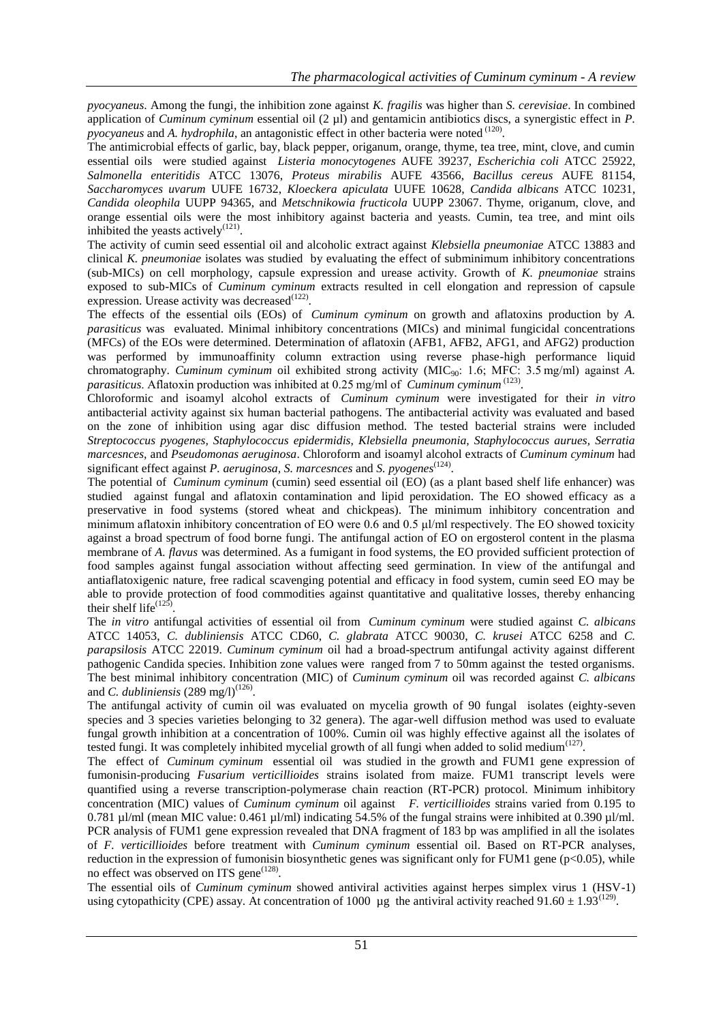*pyocyaneus*. Among the fungi, the inhibition zone against *K. fragilis* was higher than *S. cerevisiae*. In combined application of *Cuminum cyminum* essential oil (2 µl) and gentamicin antibiotics discs, a synergistic effect in *P. pyocyaneus* and *A. hydrophila*, an antagonistic effect in other bacteria were noted <sup>(120)</sup>.

The antimicrobial effects of garlic, bay, black pepper, origanum, orange, thyme, tea tree, mint, clove, and cumin essential oils were studied against *Listeria monocytogenes* AUFE 39237, *Escherichia coli* ATCC 25922, *Salmonella enteritidis* ATCC 13076, *Proteus mirabilis* AUFE 43566, *Bacillus cereus* AUFE 81154, *Saccharomyces uvarum* UUFE 16732, *Kloeckera apiculata* UUFE 10628, *Candida albicans* ATCC 10231, *Candida oleophila* UUPP 94365, and *Metschnikowia fructicola* UUPP 23067. Thyme, origanum, clove, and orange essential oils were the most inhibitory against bacteria and yeasts. Cumin, tea tree, and mint oils inhibited the yeasts actively $(121)$ .

The activity of cumin seed essential oil and alcoholic extract against *Klebsiella pneumoniae* ATCC 13883 and clinical *K. pneumoniae* isolates was studied by evaluating the effect of subminimum inhibitory concentrations (sub-MICs) on cell morphology, capsule expression and urease activity. Growth of *K. pneumoniae* strains exposed to sub-MICs of *Cuminum cyminum* extracts resulted in cell elongation and repression of capsule expression. Urease activity was decreased $^{(122)}$ .

The effects of the essential oils (EOs) of *Cuminum cyminum* on growth and aflatoxins production by *A. parasiticus* was evaluated. Minimal inhibitory concentrations (MICs) and minimal fungicidal concentrations (MFCs) of the EOs were determined. Determination of aflatoxin (AFB1, AFB2, AFG1, and AFG2) production was performed by immunoaffinity column extraction using reverse phase-high performance liquid chromatography. *Cuminum cyminum* oil exhibited strong activity (MIC<sub>90</sub>: 1.6; MFC: 3.5 mg/ml) against *A*. *parasiticus*. Aflatoxin production was inhibited at 0.25 mg/ml of *Cuminum cyminum* (123) .

Chloroformic and isoamyl alcohol extracts of *Cuminum cyminum* were investigated for their *in vitro* antibacterial activity against six human bacterial pathogens. The antibacterial activity was evaluated and based on the zone of inhibition using agar disc diffusion method. The tested bacterial strains were included *Streptococcus pyogenes, Staphylococcus epidermidis, Klebsiella pneumonia, Staphylococcus aurues, Serratia marcesnces,* and *Pseudomonas aeruginosa*. Chloroform and isoamyl alcohol extracts of *Cuminum cyminum* had significant effect against *P. aeruginosa, S. marcesnces* and *S. pyogenes*<sup>(124)</sup>.

The potential of *Cuminum cyminum* (cumin) seed essential oil (EO) (as a plant based shelf life enhancer) was studied against fungal and aflatoxin contamination and lipid peroxidation. The EO showed efficacy as a preservative in food systems (stored wheat and chickpeas). The minimum inhibitory concentration and minimum aflatoxin inhibitory concentration of EO were 0.6 and 0.5 μl/ml respectively. The EO showed toxicity against a broad spectrum of food borne fungi. The antifungal action of EO on ergosterol content in the plasma membrane of *A. flavus* was determined. As a fumigant in food systems, the EO provided sufficient protection of food samples against fungal association without affecting seed germination. In view of the antifungal and antiaflatoxigenic nature, free radical scavenging potential and efficacy in food system, cumin seed EO may be able to provide protection of food commodities against quantitative and qualitative losses, thereby enhancing their shelf life<sup> $(125)$ </sup>.

The *in vitro* antifungal activities of essential oil from *Cuminum cyminum* were studied against *C. albicans* ATCC 14053, *C. dubliniensis* ATCC CD60, *C. glabrata* ATCC 90030, *C. krusei* ATCC 6258 and *C. parapsilosis* ATCC 22019. *Cuminum cyminum* oil had a broad-spectrum antifungal activity against different pathogenic Candida species. Inhibition zone values were ranged from 7 to 50mm against the tested organisms. The best minimal inhibitory concentration (MIC) of *Cuminum cyminum* oil was recorded against *C. albicans*  and *C. dubliniensis*  $(289 \text{ mg/l})^{(126)}$ .

The antifungal activity of cumin oil was evaluated on mycelia growth of 90 fungal isolates (eighty-seven species and 3 species varieties belonging to 32 genera). The agar-well diffusion method was used to evaluate fungal growth inhibition at a concentration of 100%. Cumin oil was highly effective against all the isolates of tested fungi. It was completely inhibited mycelial growth of all fungi when added to solid medium<sup>(127)</sup>.

The effect of *Cuminum cyminum* essential oil was studied in the growth and FUM1 gene expression of fumonisin-producing *Fusarium verticillioides* strains isolated from maize. FUM1 transcript levels were quantified using a reverse transcription-polymerase chain reaction (RT-PCR) protocol. Minimum inhibitory concentration (MIC) values of *Cuminum cyminum* oil against *F. verticillioides* strains varied from 0.195 to 0.781 µl/ml (mean MIC value: 0.461 µl/ml) indicating 54.5% of the fungal strains were inhibited at 0.390 µl/ml. PCR analysis of FUM1 gene expression revealed that DNA fragment of 183 bp was amplified in all the isolates of *F. verticillioides* before treatment with *Cuminum cyminum* essential oil. Based on RT-PCR analyses, reduction in the expression of fumonisin biosynthetic genes was significant only for FUM1 gene ( $p<0.05$ ), while no effect was observed on ITS gene<sup>(128)</sup>.

The essential oils of *Cuminum cyminum* showed antiviral activities against herpes simplex virus 1 (HSV-1) using cytopathicity (CPE) assay. At concentration of 1000 µg the antiviral activity reached 91.60  $\pm$  1.93<sup>(129)</sup>.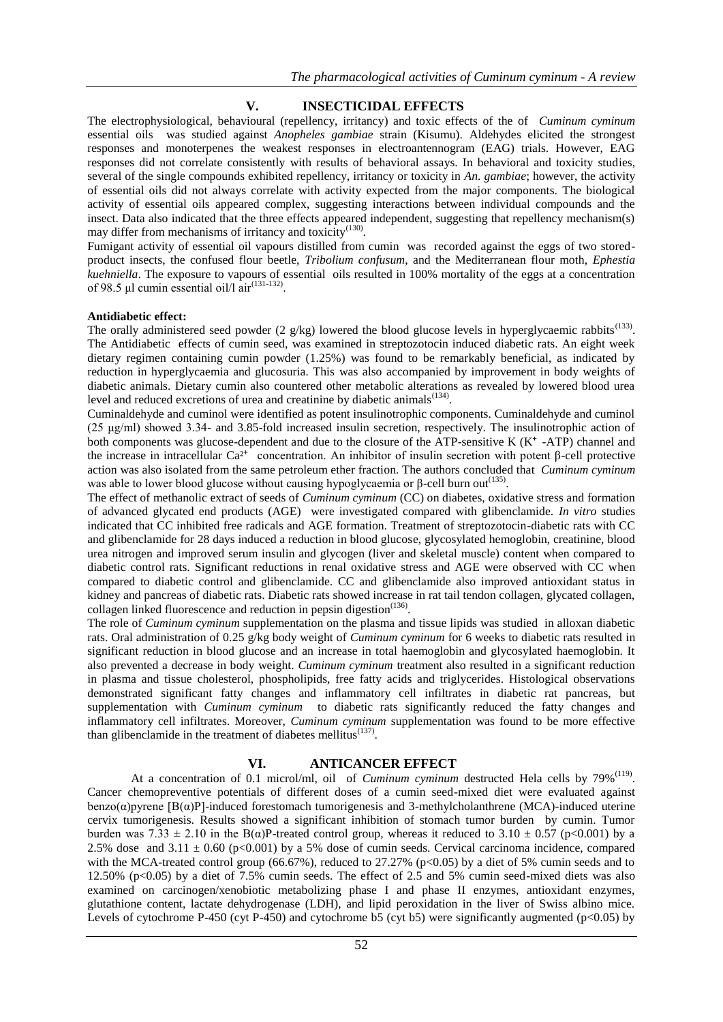## **V. INSECTICIDAL EFFECTS**

The electrophysiological, behavioural (repellency, irritancy) and toxic effects of the of *Cuminum cyminum* essential oils was studied against *Anopheles gambiae* strain (Kisumu). Aldehydes elicited the strongest responses and monoterpenes the weakest responses in electroantennogram (EAG) trials. However, EAG responses did not correlate consistently with results of behavioral assays. In behavioral and toxicity studies, several of the single compounds exhibited repellency, irritancy or toxicity in *An. gambiae*; however, the activity of essential oils did not always correlate with activity expected from the major components. The biological activity of essential oils appeared complex, suggesting interactions between individual compounds and the insect. Data also indicated that the three effects appeared independent, suggesting that repellency mechanism(s) may differ from mechanisms of irritancy and toxicity<sup>(130)</sup>.

Fumigant activity of essential oil vapours distilled from cumin was recorded against the eggs of two storedproduct insects, the confused flour beetle, *Tribolium confusum*, and the Mediterranean flour moth, *Ephestia kuehniella*. The exposure to vapours of essential oils resulted in 100% mortality of the eggs at a concentration of 98.5 µl cumin essential oil/l  $air^{(131-132)}$ .

#### **Antidiabetic effect:**

The orally administered seed powder  $(2 \frac{g}{kg})$  lowered the blood glucose levels in hyperglycaemic rabbits<sup>(133)</sup>. The Antidiabetic effects of cumin seed, was examined in streptozotocin induced diabetic rats. An eight week dietary regimen containing cumin powder (1.25%) was found to be remarkably beneficial, as indicated by reduction in hyperglycaemia and glucosuria. This was also accompanied by improvement in body weights of diabetic animals. Dietary cumin also countered other metabolic alterations as revealed by lowered blood urea level and reduced excretions of urea and creatinine by diabetic animals $^{(134)}$ .

Cuminaldehyde and cuminol were identified as potent insulinotrophic components. Cuminaldehyde and cuminol (25 μg/ml) showed 3.34- and 3.85-fold increased insulin secretion, respectively. The insulinotrophic action of both components was glucose-dependent and due to the closure of the ATP-sensitive K  $(K^+$ -ATP) channel and the increase in intracellular  $Ca^{2+}$  concentration. An inhibitor of insulin secretion with potent β-cell protective action was also isolated from the same petroleum ether fraction. The authors concluded that *Cuminum cyminum* was able to lower blood glucose without causing hypoglycaemia or  $\beta$ -cell burn out<sup>(135)</sup>.

The effect of methanolic extract of seeds of *Cuminum cyminum* (CC) on diabetes, oxidative stress and formation of advanced glycated end products (AGE) were investigated compared with glibenclamide. *In vitro* studies indicated that CC inhibited free radicals and AGE formation. Treatment of streptozotocin-diabetic rats with CC and glibenclamide for 28 days induced a reduction in blood glucose, glycosylated hemoglobin, creatinine, blood urea nitrogen and improved serum insulin and glycogen (liver and skeletal muscle) content when compared to diabetic control rats. Significant reductions in renal oxidative stress and AGE were observed with CC when compared to diabetic control and glibenclamide. CC and glibenclamide also improved antioxidant status in kidney and pancreas of diabetic rats. Diabetic rats showed increase in rat tail tendon collagen, glycated collagen, collagen linked fluorescence and reduction in pepsin digestion $(136)$ .

The role of *Cuminum cyminum* supplementation on the plasma and tissue lipids was studied in alloxan diabetic rats. Oral administration of 0.25 g/kg body weight of *Cuminum cyminum* for 6 weeks to diabetic rats resulted in significant reduction in blood glucose and an increase in total haemoglobin and glycosylated haemoglobin. It also prevented a decrease in body weight. *Cuminum cyminum* treatment also resulted in a significant reduction in plasma and tissue cholesterol, phospholipids, free fatty acids and triglycerides. Histological observations demonstrated significant fatty changes and inflammatory cell infiltrates in diabetic rat pancreas, but supplementation with *Cuminum cyminum* to diabetic rats significantly reduced the fatty changes and inflammatory cell infiltrates. Moreover, *Cuminum cyminum* supplementation was found to be more effective than glibenclamide in the treatment of diabetes mellitus $(137)$ .

## **VI. ANTICANCER EFFECT**

At a concentration of 0.1 microl/ml, oil of *Cuminum cyminum* destructed Hela cells by 79%<sup>(119)</sup>. Cancer chemopreventive potentials of different doses of a cumin seed-mixed diet were evaluated against benzo $(\alpha)$ pyrene [B $(\alpha)$ P]-induced forestomach tumorigenesis and 3-methylcholanthrene (MCA)-induced uterine cervix tumorigenesis. Results showed a significant inhibition of stomach tumor burden by cumin. Tumor burden was 7.33  $\pm$  2.10 in the B( $\alpha$ )P-treated control group, whereas it reduced to 3.10  $\pm$  0.57 (p<0.001) by a 2.5% dose and  $3.11 \pm 0.60$  (p<0.001) by a 5% dose of cumin seeds. Cervical carcinoma incidence, compared with the MCA-treated control group (66.67%), reduced to 27.27% (p<0.05) by a diet of 5% cumin seeds and to 12.50% (p<0.05) by a diet of 7.5% cumin seeds. The effect of 2.5 and 5% cumin seed-mixed diets was also examined on carcinogen/xenobiotic metabolizing phase I and phase II enzymes, antioxidant enzymes, glutathione content, lactate dehydrogenase (LDH), and lipid peroxidation in the liver of Swiss albino mice. Levels of cytochrome P-450 (cyt P-450) and cytochrome b5 (cyt b5) were significantly augmented (p<0.05) by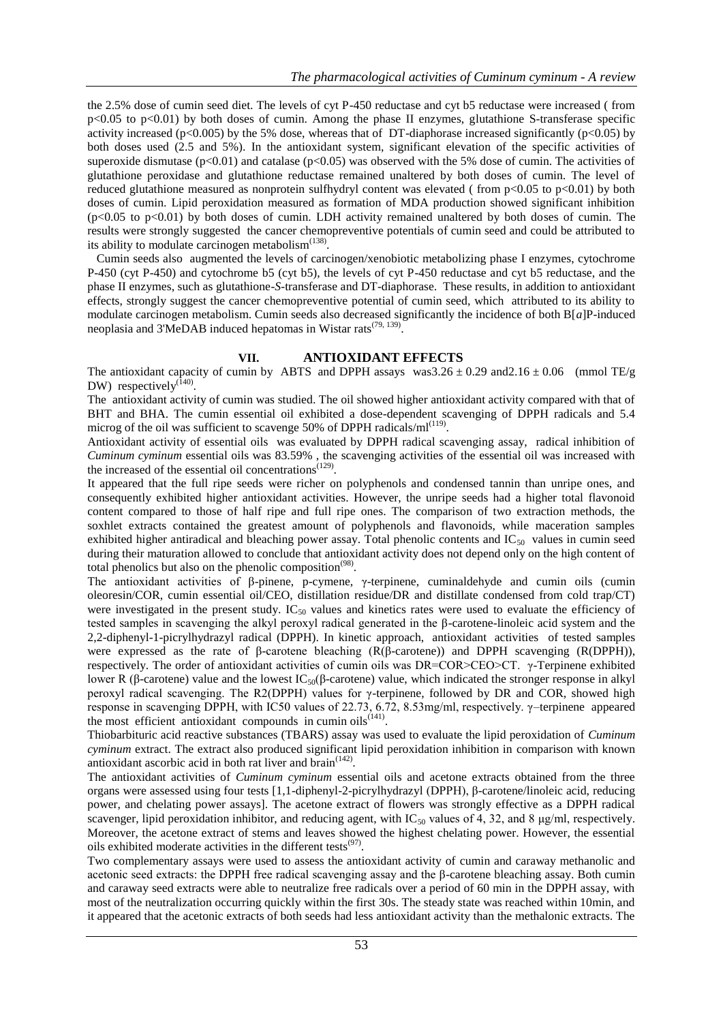the 2.5% dose of cumin seed diet. The levels of cyt P-450 reductase and cyt b5 reductase were increased ( from p<0.05 to p<0.01) by both doses of cumin. Among the phase II enzymes, glutathione S-transferase specific activity increased (p<0.005) by the 5% dose, whereas that of DT-diaphorase increased significantly (p<0.05) by both doses used (2.5 and 5%). In the antioxidant system, significant elevation of the specific activities of superoxide dismutase  $(p<0.01)$  and catalase  $(p<0.05)$  was observed with the 5% dose of cumin. The activities of glutathione peroxidase and glutathione reductase remained unaltered by both doses of cumin. The level of reduced glutathione measured as nonprotein sulfhydryl content was elevated (from  $p<0.05$  to  $p<0.01$ ) by both doses of cumin. Lipid peroxidation measured as formation of MDA production showed significant inhibition (p<0.05 to p<0.01) by both doses of cumin. LDH activity remained unaltered by both doses of cumin. The results were strongly suggested the cancer chemopreventive potentials of cumin seed and could be attributed to its ability to modulate carcinogen metabolism $<sup>(138)</sup>$ .</sup>

 Cumin seeds also augmented the levels of carcinogen/xenobiotic metabolizing phase I enzymes, cytochrome P-450 (cyt P-450) and cytochrome b5 (cyt b5), the levels of cyt P-450 reductase and cyt b5 reductase, and the phase II enzymes, such as glutathione-*S*-transferase and DT-diaphorase. These results, in addition to antioxidant effects, strongly suggest the cancer chemopreventive potential of cumin seed, which attributed to its ability to modulate carcinogen metabolism. Cumin seeds also decreased significantly the incidence of both B[*a*]P-induced neoplasia and 3'MeDAB induced hepatomas in Wistar rats<sup>(79, 139)</sup>.

### **VII. ANTIOXIDANT EFFECTS**

The antioxidant capacity of cumin by ABTS and DPPH assays was3.26  $\pm$  0.29 and2.16  $\pm$  0.06 (mmol TE/g DW) respectively $^{(140)}$ .

The antioxidant activity of cumin was studied. The oil showed higher antioxidant activity compared with that of BHT and BHA. The cumin essential oil exhibited a dose-dependent scavenging of DPPH radicals and 5.4 microg of the oil was sufficient to scavenge 50% of DPPH radicals/ $ml^{(119)}$ .

Antioxidant activity of essential oils was evaluated by DPPH radical scavenging assay, radical inhibition of *Cuminum cyminum* essential oils was 83.59% , the scavenging activities of the essential oil was increased with the increased of the essential oil concentrations<sup> $(129)$ </sup>.

It appeared that the full ripe seeds were richer on polyphenols and condensed tannin than unripe ones, and consequently exhibited higher antioxidant activities. However, the unripe seeds had a higher total flavonoid content compared to those of half ripe and full ripe ones. The comparison of two extraction methods, the soxhlet extracts contained the greatest amount of polyphenols and flavonoids, while maceration samples exhibited higher antiradical and bleaching power assay. Total phenolic contents and  $IC_{50}$  values in cumin seed during their maturation allowed to conclude that antioxidant activity does not depend only on the high content of total phenolics but also on the phenolic composition<sup> $(98)$ </sup>.

The antioxidant activities of β-pinene, p-cymene, γ-terpinene, cuminaldehyde and cumin oils (cumin oleoresin/COR, cumin essential oil/CEO, distillation residue/DR and distillate condensed from cold trap/CT) were investigated in the present study. IC<sub>50</sub> values and kinetics rates were used to evaluate the efficiency of tested samples in scavenging the alkyl peroxyl radical generated in the β-carotene-linoleic acid system and the 2,2-diphenyl-1-picrylhydrazyl radical (DPPH). In kinetic approach, antioxidant activities of tested samples were expressed as the rate of β-carotene bleaching (R(β-carotene)) and DPPH scavenging (R(DPPH)), respectively. The order of antioxidant activities of cumin oils was DR=COR>CEO>CT. γ-Terpinene exhibited lower R (β-carotene) value and the lowest  $IC_{50}$ (β-carotene) value, which indicated the stronger response in alkyl peroxyl radical scavenging. The R2(DPPH) values for γ-terpinene, followed by DR and COR, showed high response in scavenging DPPH, with IC50 values of 22.73, 6.72, 8.53mg/ml, respectively. γ–terpinene appeared the most efficient antioxidant compounds in cumin oils $(141)$ .

Thiobarbituric acid reactive substances (TBARS) assay was used to evaluate the lipid peroxidation of *Cuminum cyminum* extract. The extract also produced significant lipid peroxidation inhibition in comparison with known antioxidant ascorbic acid in both rat liver and brain $(142)$ .

The antioxidant activities of *Cuminum cyminum* essential oils and acetone extracts obtained from the three organs were assessed using four tests [1,1-diphenyl-2-picrylhydrazyl (DPPH), β-carotene/linoleic acid, reducing power, and chelating power assays]. The acetone extract of flowers was strongly effective as a DPPH radical scavenger, lipid peroxidation inhibitor, and reducing agent, with  $IC_{50}$  values of 4, 32, and 8  $\mu$ g/ml, respectively. Moreover, the acetone extract of stems and leaves showed the highest chelating power. However, the essential oils exhibited moderate activities in the different tests<sup>(97)</sup>.

Two complementary assays were used to assess the antioxidant activity of cumin and caraway methanolic and acetonic seed extracts: the DPPH free radical scavenging assay and the β-carotene bleaching assay. Both cumin and caraway seed extracts were able to neutralize free radicals over a period of 60 min in the DPPH assay, with most of the neutralization occurring quickly within the first 30s. The steady state was reached within 10min, and it appeared that the acetonic extracts of both seeds had less antioxidant activity than the methalonic extracts. The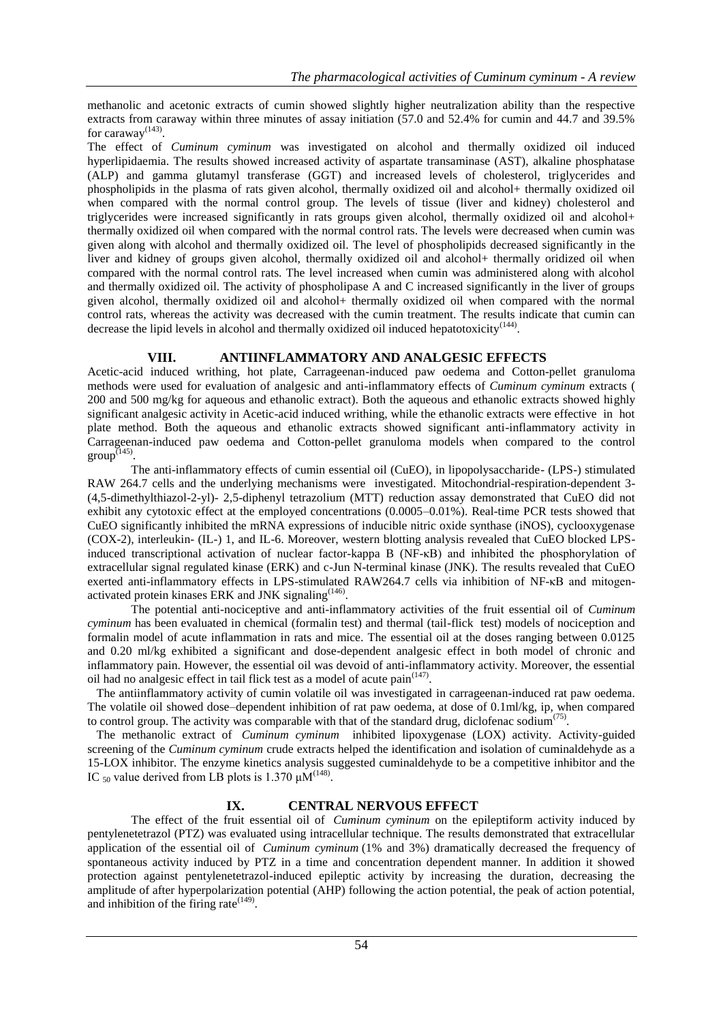methanolic and acetonic extracts of cumin showed slightly higher neutralization ability than the respective extracts from caraway within three minutes of assay initiation (57.0 and 52.4% for cumin and 44.7 and 39.5% for caraway $^{(143)}$ .

The effect of *Cuminum cyminum* was investigated on alcohol and thermally oxidized oil induced hyperlipidaemia. The results showed increased activity of aspartate transaminase (AST), alkaline phosphatase (ALP) and gamma glutamyl transferase (GGT) and increased levels of cholesterol, triglycerides and phospholipids in the plasma of rats given alcohol, thermally oxidized oil and alcohol+ thermally oxidized oil when compared with the normal control group. The levels of tissue (liver and kidney) cholesterol and triglycerides were increased significantly in rats groups given alcohol, thermally oxidized oil and alcohol+ thermally oxidized oil when compared with the normal control rats. The levels were decreased when cumin was given along with alcohol and thermally oxidized oil. The level of phospholipids decreased significantly in the liver and kidney of groups given alcohol, thermally oxidized oil and alcohol+ thermally oridized oil when compared with the normal control rats. The level increased when cumin was administered along with alcohol and thermally oxidized oil. The activity of phospholipase A and C increased significantly in the liver of groups given alcohol, thermally oxidized oil and alcohol+ thermally oxidized oil when compared with the normal control rats, whereas the activity was decreased with the cumin treatment. The results indicate that cumin can decrease the lipid levels in alcohol and thermally oxidized oil induced hepatotoxicity<sup>(144)</sup>.

## **VIII. ANTIINFLAMMATORY AND ANALGESIC EFFECTS**

Acetic-acid induced writhing, hot plate, Carrageenan-induced paw oedema and Cotton-pellet granuloma methods were used for evaluation of analgesic and anti-inflammatory effects of *Cuminum cyminum* extracts ( 200 and 500 mg/kg for aqueous and ethanolic extract). Both the aqueous and ethanolic extracts showed highly significant analgesic activity in Acetic-acid induced writhing, while the ethanolic extracts were effective in hot plate method. Both the aqueous and ethanolic extracts showed significant anti-inflammatory activity in Carrageenan-induced paw oedema and Cotton-pellet granuloma models when compared to the control  $group^{(145)}$ .

The anti-inflammatory effects of cumin essential oil (CuEO), in lipopolysaccharide- (LPS-) stimulated RAW 264.7 cells and the underlying mechanisms were investigated. Mitochondrial-respiration-dependent 3- (4,5-dimethylthiazol-2-yl)- 2,5-diphenyl tetrazolium (MTT) reduction assay demonstrated that CuEO did not exhibit any cytotoxic effect at the employed concentrations (0.0005–0.01%). Real-time PCR tests showed that CuEO significantly inhibited the mRNA expressions of inducible nitric oxide synthase (iNOS), cyclooxygenase (COX-2), interleukin- (IL-) 1, and IL-6. Moreover, western blotting analysis revealed that CuEO blocked LPSinduced transcriptional activation of nuclear factor-kappa B (NF-κB) and inhibited the phosphorylation of extracellular signal regulated kinase (ERK) and c-Jun N-terminal kinase (JNK). The results revealed that CuEO exerted anti-inflammatory effects in LPS-stimulated RAW264.7 cells via inhibition of NF-κB and mitogenactivated protein kinases ERK and JNK signaling $(146)$ .

 The potential anti-nociceptive and anti-inflammatory activities of the fruit essential oil of *Cuminum cyminum* has been evaluated in chemical (formalin test) and thermal (tail-flick test) models of nociception and formalin model of acute inflammation in rats and mice. The essential oil at the doses ranging between 0.0125 and 0.20 ml/kg exhibited a significant and dose-dependent analgesic effect in both model of chronic and inflammatory pain. However, the essential oil was devoid of anti-inflammatory activity. Moreover, the essential oil had no analgesic effect in tail flick test as a model of acute pain $(147)$ .

 The antiinflammatory activity of cumin volatile oil was investigated in carrageenan-induced rat paw oedema. The volatile oil showed dose–dependent inhibition of rat paw oedema, at dose of 0.1ml/kg, ip, when compared to control group. The activity was comparable with that of the standard drug, diclofenac sodium<sup>(75)</sup>.

 The methanolic extract of *Cuminum cyminum* inhibited lipoxygenase (LOX) activity. Activity-guided screening of the *Cuminum cyminum* crude extracts helped the identification and isolation of cuminaldehyde as a 15-LOX inhibitor. The enzyme kinetics analysis suggested cuminaldehyde to be a competitive inhibitor and the IC  $_{50}$  value derived from LB plots is 1.370  $\mu$ M<sup>(148)</sup>.

## **IX. CENTRAL NERVOUS EFFECT**

 The effect of the fruit essential oil of *Cuminum cyminum* on the epileptiform activity induced by pentylenetetrazol (PTZ) was evaluated using intracellular technique. The results demonstrated that extracellular application of the essential oil of *Cuminum cyminum* (1% and 3%) dramatically decreased the frequency of spontaneous activity induced by PTZ in a time and concentration dependent manner. In addition it showed protection against pentylenetetrazol-induced epileptic activity by increasing the duration, decreasing the amplitude of after hyperpolarization potential (AHP) following the action potential, the peak of action potential, and inhibition of the firing rate $(149)$ .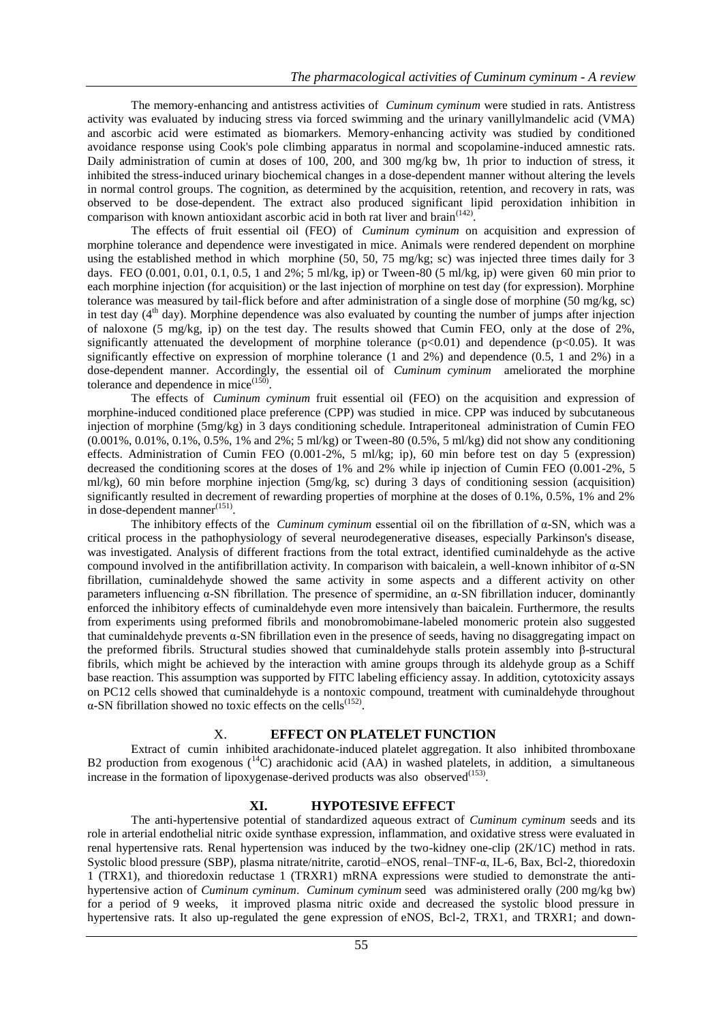The memory-enhancing and antistress activities of *Cuminum cyminum* were studied in rats. Antistress activity was evaluated by inducing stress via forced swimming and the urinary vanillylmandelic acid (VMA) and ascorbic acid were estimated as biomarkers. Memory-enhancing activity was studied by conditioned avoidance response using Cook's pole climbing apparatus in normal and scopolamine-induced amnestic rats. Daily administration of cumin at doses of 100, 200, and 300 mg/kg bw, 1h prior to induction of stress, it inhibited the stress-induced urinary biochemical changes in a dose-dependent manner without altering the levels in normal control groups. The cognition, as determined by the acquisition, retention, and recovery in rats, was observed to be dose-dependent. The extract also produced significant lipid peroxidation inhibition in comparison with known antioxidant ascorbic acid in both rat liver and brain $(142)$ .

 The effects of fruit essential oil (FEO) of *Cuminum cyminum* on acquisition and expression of morphine tolerance and dependence were investigated in mice. Animals were rendered dependent on morphine using the established method in which morphine (50, 50, 75 mg/kg; sc) was injected three times daily for 3 days. FEO  $(0.001, 0.01, 0.1, 0.5, 1 \text{ and } 2\%, 5 \text{ ml/kg}, \text{ip})$  or Tween-80  $(5 \text{ ml/kg}, \text{ip})$  were given 60 min prior to each morphine injection (for acquisition) or the last injection of morphine on test day (for expression). Morphine tolerance was measured by tail-flick before and after administration of a single dose of morphine (50 mg/kg, sc) in test day  $(4<sup>th</sup>$  day). Morphine dependence was also evaluated by counting the number of jumps after injection of naloxone (5 mg/kg, ip) on the test day. The results showed that Cumin FEO, only at the dose of 2%, significantly attenuated the development of morphine tolerance  $(p<0.01)$  and dependence  $(p<0.05)$ . It was significantly effective on expression of morphine tolerance (1 and 2%) and dependence (0.5, 1 and 2%) in a dose-dependent manner. Accordingly, the essential oil of *Cuminum cyminum* ameliorated the morphine tolerance and dependence in mice $(150)$ .

 The effects of *Cuminum cyminum* fruit essential oil (FEO) on the acquisition and expression of morphine-induced conditioned place preference (CPP) was studied in mice. CPP was induced by subcutaneous injection of morphine (5mg/kg) in 3 days conditioning schedule. Intraperitoneal administration of Cumin FEO (0.001%, 0.01%, 0.1%, 0.5%, 1% and 2%; 5 ml/kg) or Tween-80 (0.5%, 5 ml/kg) did not show any conditioning effects. Administration of Cumin FEO (0.001-2%, 5 ml/kg; ip), 60 min before test on day 5 (expression) decreased the conditioning scores at the doses of 1% and 2% while ip injection of Cumin FEO (0.001-2%, 5 ml/kg), 60 min before morphine injection (5mg/kg, sc) during 3 days of conditioning session (acquisition) significantly resulted in decrement of rewarding properties of morphine at the doses of 0.1%, 0.5%, 1% and 2% in dose-dependent manner $(151)$ .

 The inhibitory effects of the *Cuminum cyminum* essential oil on the fibrillation of α-SN, which was a critical process in the pathophysiology of several neurodegenerative diseases, especially Parkinson's disease, was investigated. Analysis of different fractions from the total extract, identified cuminaldehyde as the active compound involved in the antifibrillation activity. In comparison with baicalein, a well-known inhibitor of α-SN fibrillation, cuminaldehyde showed the same activity in some aspects and a different activity on other parameters influencing α-SN fibrillation. The presence of spermidine, an α-SN fibrillation inducer, dominantly enforced the inhibitory effects of cuminaldehyde even more intensively than baicalein. Furthermore, the results from experiments using preformed fibrils and monobromobimane-labeled monomeric protein also suggested that cuminaldehyde prevents α-SN fibrillation even in the presence of seeds, having no disaggregating impact on the preformed fibrils. Structural studies showed that cuminaldehyde stalls protein assembly into β-structural fibrils, which might be achieved by the interaction with amine groups through its aldehyde group as a Schiff base reaction. This assumption was supported by FITC labeling efficiency assay. In addition, cytotoxicity assays on PC12 cells showed that cuminaldehyde is a nontoxic compound, treatment with cuminaldehyde throughout  $\alpha$ -SN fibrillation showed no toxic effects on the cells<sup>(152)</sup>.

#### X. **EFFECT ON PLATELET FUNCTION**

 Extract of cumin inhibited arachidonate-induced platelet aggregation. It also inhibited thromboxane B2 production from exogenous  $(14)$  arachidonic acid (AA) in washed platelets, in addition, a simultaneous increase in the formation of lipoxygenase-derived products was also observed $(153)$ .

## **XI. HYPOTESIVE EFFECT**

 The anti-hypertensive potential of standardized aqueous extract of *Cuminum cyminum* seeds and its role in arterial endothelial nitric oxide synthase expression, inflammation, and oxidative stress were evaluated in renal hypertensive rats. Renal hypertension was induced by the two-kidney one-clip (2K/1C) method in rats. Systolic blood pressure (SBP), plasma nitrate/nitrite, carotid–eNOS, renal–TNF-α, IL-6, Bax, Bcl-2, thioredoxin 1 (TRX1), and thioredoxin reductase 1 (TRXR1) mRNA expressions were studied to demonstrate the antihypertensive action of *Cuminum cyminum*. *Cuminum cyminum* seed was administered orally (200 mg/kg bw) for a period of 9 weeks, it improved plasma nitric oxide and decreased the systolic blood pressure in hypertensive rats. It also up-regulated the gene expression of eNOS, Bcl-2, TRX1, and TRXR1; and down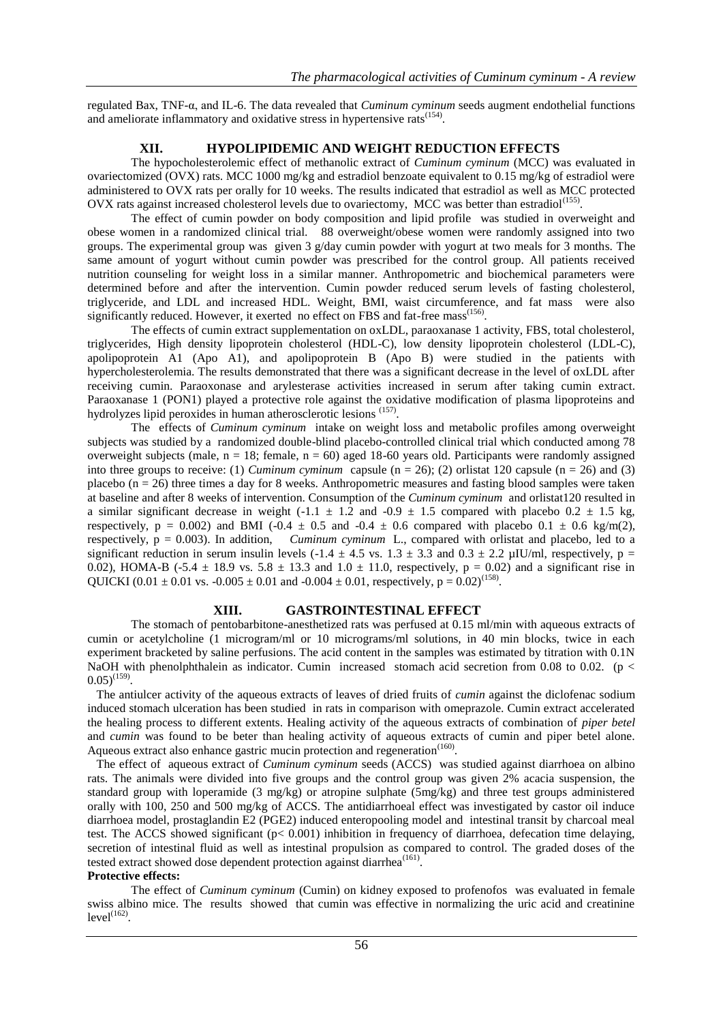regulated Bax, TNF-α, and IL-6. The data revealed that *Cuminum cyminum* seeds augment endothelial functions and ameliorate inflammatory and oxidative stress in hypertensive rats<sup>(154)</sup>.

## **XII. HYPOLIPIDEMIC AND WEIGHT REDUCTION EFFECTS**

 The hypocholesterolemic effect of methanolic extract of *Cuminum cyminum* (MCC) was evaluated in ovariectomized (OVX) rats. MCC 1000 mg/kg and estradiol benzoate equivalent to 0.15 mg/kg of estradiol were administered to OVX rats per orally for 10 weeks. The results indicated that estradiol as well as MCC protected OVX rats against increased cholesterol levels due to ovariectomy, MCC was better than estradiol<sup>(155)</sup>.

 The effect of cumin powder on body composition and lipid profile was studied in overweight and obese women in a randomized clinical trial. 88 overweight/obese women were randomly assigned into two groups. The experimental group was given  $3$  g/day cumin powder with yogurt at two meals for 3 months. The same amount of yogurt without cumin powder was prescribed for the control group. All patients received nutrition counseling for weight loss in a similar manner. Anthropometric and biochemical parameters were determined before and after the intervention. Cumin powder reduced serum levels of fasting cholesterol, triglyceride, and LDL and increased HDL. Weight, BMI, waist circumference, and fat mass were also significantly reduced. However, it exerted no effect on FBS and fat-free mass<sup>(156)</sup>.

 The effects of cumin extract supplementation on oxLDL, paraoxanase 1 activity, FBS, total cholesterol, triglycerides, High density lipoprotein cholesterol (HDL-C), low density lipoprotein cholesterol (LDL-C), apolipoprotein A1 (Apo A1), and apolipoprotein B (Apo B) were studied in the patients with hypercholesterolemia. The results demonstrated that there was a significant decrease in the level of oxLDL after receiving cumin. Paraoxonase and arylesterase activities increased in serum after taking cumin extract. Paraoxanase 1 (PON1) played a protective role against the oxidative modification of plasma lipoproteins and hydrolyzes lipid peroxides in human atherosclerotic lesions (157).

 The effects of *Cuminum cyminum* intake on weight loss and metabolic profiles among overweight subjects was studied by a randomized double-blind placebo-controlled clinical trial which conducted among 78 overweight subjects (male,  $n = 18$ ; female,  $n = 60$ ) aged 18-60 years old. Participants were randomly assigned into three groups to receive: (1) *Cuminum cyminum* capsule  $(n = 26)$ ; (2) orlistat 120 capsule  $(n = 26)$  and (3) placebo  $(n = 26)$  three times a day for 8 weeks. Anthropometric measures and fasting blood samples were taken at baseline and after 8 weeks of intervention. Consumption of the *Cuminum cyminum* and orlistat120 resulted in a similar significant decrease in weight (-1.1  $\pm$  1.2 and -0.9  $\pm$  1.5 compared with placebo 0.2  $\pm$  1.5 kg, respectively, p = 0.002) and BMI (-0.4  $\pm$  0.5 and -0.4  $\pm$  0.6 compared with placebo 0.1  $\pm$  0.6 kg/m(2), respectively, p = 0.003). In addition, *Cuminum cyminum* L., compared with orlistat and placebo, led to a significant reduction in serum insulin levels (-1.4  $\pm$  4.5 vs. 1.3  $\pm$  3.3 and 0.3  $\pm$  2.2 µIU/ml, respectively, p = 0.02), HOMA-B (-5.4  $\pm$  18.9 vs. 5.8  $\pm$  13.3 and 1.0  $\pm$  11.0, respectively, p = 0.02) and a significant rise in QUICKI (0.01  $\pm$  0.01 vs. -0.005  $\pm$  0.01 and -0.004  $\pm$  0.01, respectively, p = 0.02)<sup>(158)</sup>.

## **XIII. GASTROINTESTINAL EFFECT**

 The stomach of pentobarbitone-anesthetized rats was perfused at 0.15 ml/min with aqueous extracts of cumin or acetylcholine (1 microgram/ml or 10 micrograms/ml solutions, in 40 min blocks, twice in each experiment bracketed by saline perfusions. The acid content in the samples was estimated by titration with 0.1N NaOH with phenolphthalein as indicator. Cumin increased stomach acid secretion from 0.08 to 0.02. ( $p <$  $(0.05)^{(159)}$ .

 The antiulcer activity of the aqueous extracts of leaves of dried fruits of *cumin* against the diclofenac sodium induced stomach ulceration has been studied in rats in comparison with omeprazole. Cumin extract accelerated the healing process to different extents. Healing activity of the aqueous extracts of combination of *piper betel*  and *cumin* was found to be beter than healing activity of aqueous extracts of cumin and piper betel alone. Aqueous extract also enhance gastric mucin protection and regeneration<sup>(160)</sup>.

 The effect of aqueous extract of *Cuminum cyminum* seeds (ACCS) was studied against diarrhoea on albino rats. The animals were divided into five groups and the control group was given 2% acacia suspension, the standard group with loperamide (3 mg/kg) or atropine sulphate (5mg/kg) and three test groups administered orally with 100, 250 and 500 mg/kg of ACCS. The antidiarrhoeal effect was investigated by castor oil induce diarrhoea model, prostaglandin E2 (PGE2) induced enteropooling model and intestinal transit by charcoal meal test. The ACCS showed significant (p< 0.001) inhibition in frequency of diarrhoea, defecation time delaying, secretion of intestinal fluid as well as intestinal propulsion as compared to control. The graded doses of the tested extract showed dose dependent protection against diarrhea<sup>(161)</sup>.

## **Protective effects:**

 The effect of *Cuminum cyminum* (Cumin) on kidney exposed to profenofos was evaluated in female swiss albino mice. The results showed that cumin was effective in normalizing the uric acid and creatinine  $level<sup>(162)</sup>$ .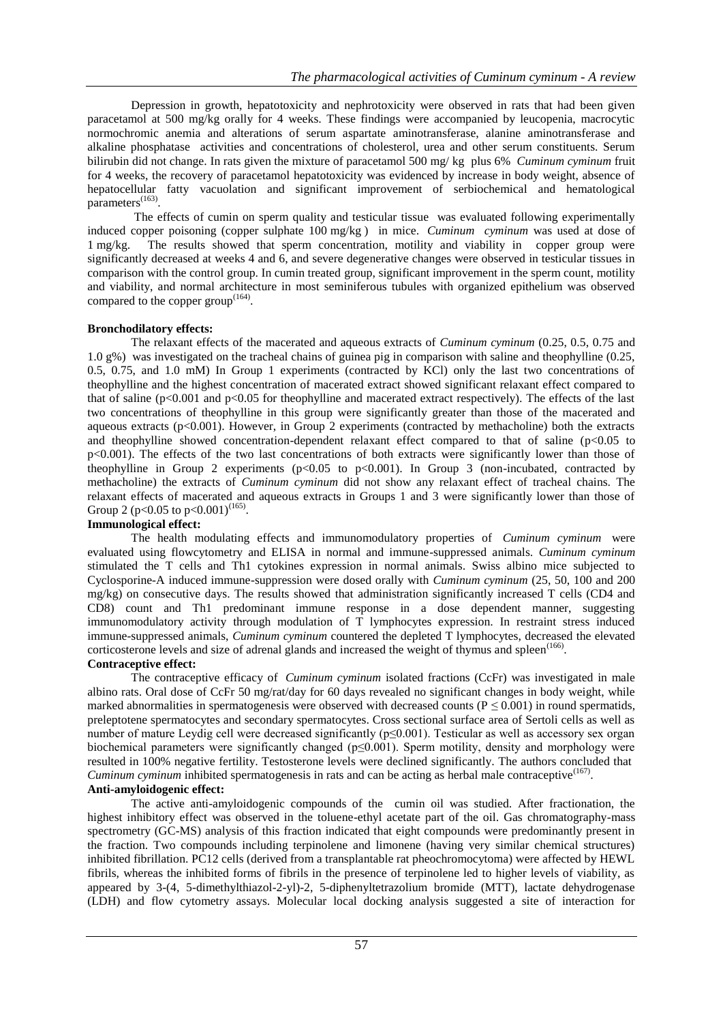Depression in growth, hepatotoxicity and nephrotoxicity were observed in rats that had been given paracetamol at 500 mg/kg orally for 4 weeks. These findings were accompanied by leucopenia, macrocytic normochromic anemia and alterations of serum aspartate aminotransferase, alanine aminotransferase and alkaline phosphatase activities and concentrations of cholesterol, urea and other serum constituents. Serum bilirubin did not change. In rats given the mixture of paracetamol 500 mg/ kg plus 6% *Cuminum cyminum* fruit for 4 weeks, the recovery of paracetamol hepatotoxicity was evidenced by increase in body weight, absence of hepatocellular fatty vacuolation and significant improvement of serbiochemical and hematological parameters<sup>(163)</sup>.

 The effects of cumin on sperm quality and testicular tissue was evaluated following experimentally induced copper poisoning (copper sulphate 100 mg/kg ) in mice. *Cuminum cyminum* was used at dose of 1 mg/kg. The results showed that sperm concentration, motility and viability in copper group were significantly decreased at weeks 4 and 6, and severe degenerative changes were observed in testicular tissues in comparison with the control group. In cumin treated group, significant improvement in the sperm count, motility and viability, and normal architecture in most seminiferous tubules with organized epithelium was observed compared to the copper group $(164)$ .

## **Bronchodilatory effects:**

 The relaxant effects of the macerated and aqueous extracts of *Cuminum cyminum* (0.25, 0.5, 0.75 and 1.0 g%) was investigated on the tracheal chains of guinea pig in comparison with saline and theophylline (0.25, 0.5, 0.75, and 1.0 mM) In Group 1 experiments (contracted by KCl) only the last two concentrations of theophylline and the highest concentration of macerated extract showed significant relaxant effect compared to that of saline (p<0.001 and p<0.05 for theophylline and macerated extract respectively). The effects of the last two concentrations of theophylline in this group were significantly greater than those of the macerated and aqueous extracts  $(p<0.001)$ . However, in Group 2 experiments (contracted by methacholine) both the extracts and theophylline showed concentration-dependent relaxant effect compared to that of saline  $(p<0.05$  to p<0.001). The effects of the two last concentrations of both extracts were significantly lower than those of theophylline in Group 2 experiments ( $p<0.05$  to  $p<0.001$ ). In Group 3 (non-incubated, contracted by methacholine) the extracts of *Cuminum cyminum* did not show any relaxant effect of tracheal chains. The relaxant effects of macerated and aqueous extracts in Groups 1 and 3 were significantly lower than those of Group 2 ( $p<0.05$  to  $p<0.001$ )<sup>(165)</sup>.

## **Immunological effect:**

 The health modulating effects and immunomodulatory properties of *Cuminum cyminum* were evaluated using flowcytometry and ELISA in normal and immune-suppressed animals. *Cuminum cyminum* stimulated the T cells and Th1 cytokines expression in normal animals. Swiss albino mice subjected to Cyclosporine-A induced immune-suppression were dosed orally with *Cuminum cyminum* (25, 50, 100 and 200 mg/kg) on consecutive days. The results showed that administration significantly increased T cells (CD4 and CD8) count and Th1 predominant immune response in a dose dependent manner, suggesting immunomodulatory activity through modulation of T lymphocytes expression. In restraint stress induced immune-suppressed animals, *Cuminum cyminum* countered the depleted T lymphocytes, decreased the elevated corticosterone levels and size of adrenal glands and increased the weight of thymus and spleen<sup>(166)</sup>.

## **Contraceptive effect:**

 The contraceptive efficacy of *Cuminum cyminum* isolated fractions (CcFr) was investigated in male albino rats. Oral dose of CcFr 50 mg/rat/day for 60 days revealed no significant changes in body weight, while marked abnormalities in spermatogenesis were observed with decreased counts ( $P \le 0.001$ ) in round spermatids, preleptotene spermatocytes and secondary spermatocytes. Cross sectional surface area of Sertoli cells as well as number of mature Leydig cell were decreased significantly (p≤0.001). Testicular as well as accessory sex organ biochemical parameters were significantly changed ( $p \le 0.001$ ). Sperm motility, density and morphology were resulted in 100% negative fertility. Testosterone levels were declined significantly. The authors concluded that *Cuminum cyminum* inhibited spermatogenesis in rats and can be acting as herbal male contraceptive<sup>(167)</sup>.

# **Anti-amyloidogenic effect:**

 The active anti-amyloidogenic compounds of the cumin oil was studied. After fractionation, the highest inhibitory effect was observed in the toluene-ethyl acetate part of the oil. Gas chromatography-mass spectrometry (GC-MS) analysis of this fraction indicated that eight compounds were predominantly present in the fraction. Two compounds including terpinolene and limonene (having very similar chemical structures) inhibited fibrillation. PC12 cells (derived from a transplantable rat pheochromocytoma) were affected by HEWL fibrils, whereas the inhibited forms of fibrils in the presence of terpinolene led to higher levels of viability, as appeared by 3-(4, 5-dimethylthiazol-2-yl)-2, 5-diphenyltetrazolium bromide (MTT), lactate dehydrogenase (LDH) and flow cytometry assays. Molecular local docking analysis suggested a site of interaction for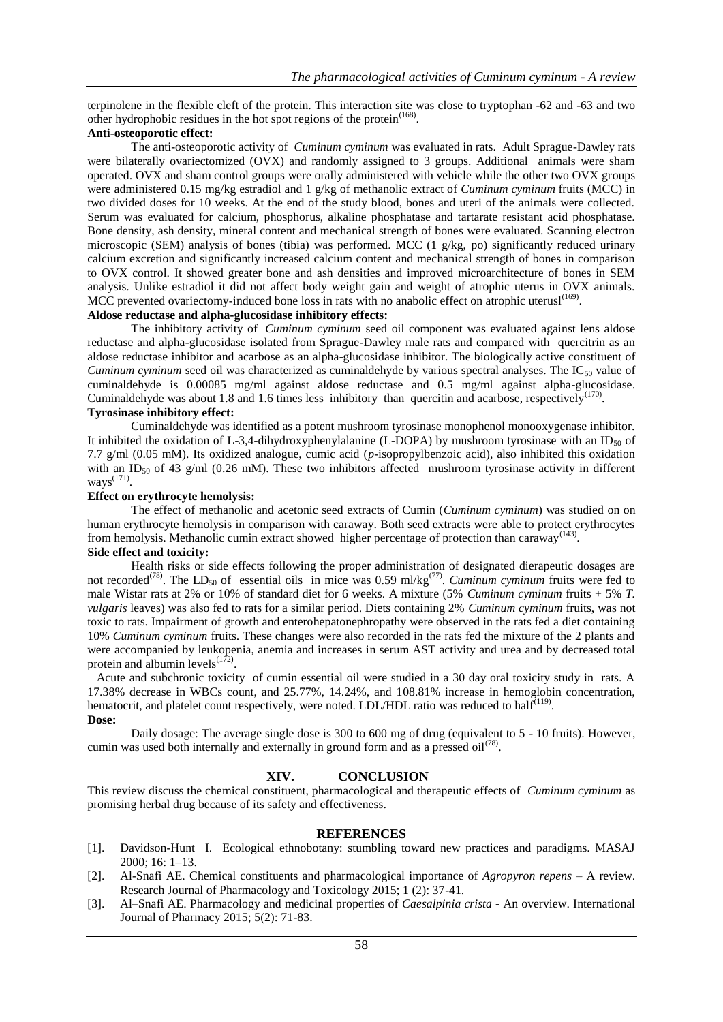terpinolene in the flexible cleft of the protein. This interaction site was close to tryptophan -62 and -63 and two other hydrophobic residues in the hot spot regions of the protein<sup> $(168)$ </sup>.

#### **Anti-osteoporotic effect:**

 The anti-osteoporotic activity of *Cuminum cyminum* was evaluated in rats. Adult Sprague-Dawley rats were bilaterally ovariectomized (OVX) and randomly assigned to 3 groups. Additional animals were sham operated. OVX and sham control groups were orally administered with vehicle while the other two OVX groups were administered 0.15 mg/kg estradiol and 1 g/kg of methanolic extract of *Cuminum cyminum* fruits (MCC) in two divided doses for 10 weeks. At the end of the study blood, bones and uteri of the animals were collected. Serum was evaluated for calcium, phosphorus, alkaline phosphatase and tartarate resistant acid phosphatase. Bone density, ash density, mineral content and mechanical strength of bones were evaluated. Scanning electron microscopic (SEM) analysis of bones (tibia) was performed. MCC  $(1 \text{ g/kg}, \text{ po})$  significantly reduced urinary calcium excretion and significantly increased calcium content and mechanical strength of bones in comparison to OVX control. It showed greater bone and ash densities and improved microarchitecture of bones in SEM analysis. Unlike estradiol it did not affect body weight gain and weight of atrophic uterus in OVX animals. MCC prevented ovariectomy-induced bone loss in rats with no anabolic effect on atrophic uterusl<sup>(169)</sup>.

## **Aldose reductase and alpha-glucosidase inhibitory effects:**

 The inhibitory activity of *Cuminum cyminum* seed oil component was evaluated against lens aldose reductase and alpha-glucosidase isolated from Sprague-Dawley male rats and compared with quercitrin as an aldose reductase inhibitor and acarbose as an alpha-glucosidase inhibitor. The biologically active constituent of *Cuminum cyminum* seed oil was characterized as cuminaldehyde by various spectral analyses. The IC<sub>50</sub> value of cuminaldehyde is 0.00085 mg/ml against aldose reductase and 0.5 mg/ml against alpha-glucosidase. Cuminaldehyde was about 1.8 and 1.6 times less inhibitory than quercitin and acarbose, respectively<sup>(170)</sup>.

## **Tyrosinase inhibitory effect:**

 Cuminaldehyde was identified as a potent mushroom tyrosinase monophenol monooxygenase inhibitor. It inhibited the oxidation of L-3,4-dihydroxyphenylalanine (L-DOPA) by mushroom tyrosinase with an ID<sub>50</sub> of 7.7 g/ml (0.05 mM). Its oxidized analogue, cumic acid (*p*-isopropylbenzoic acid), also inhibited this oxidation with an ID<sub>50</sub> of 43 g/ml (0.26 mM). These two inhibitors affected mushroom tyrosinase activity in different ways $^{(171)}$ .

#### **Effect on erythrocyte hemolysis:**

 The effect of methanolic and acetonic seed extracts of Cumin (*Cuminum cyminum*) was studied on on human erythrocyte hemolysis in comparison with caraway. Both seed extracts were able to protect erythrocytes from hemolysis. Methanolic cumin extract showed higher percentage of protection than caraway<sup>(143)</sup>. **Side effect and toxicity:**

 Health risks or side effects following the proper administration of designated dierapeutic dosages are not recorded<sup>(78)</sup>. The LD<sub>50</sub> of essential oils in mice was 0.59 ml/kg<sup>(77)</sup>. *Cuminum cyminum* fruits were fed to male Wistar rats at 2% or 10% of standard diet for 6 weeks. A mixture (5% *Cuminum cyminum* fruits + 5% *T. vulgaris* leaves) was also fed to rats for a similar period. Diets containing 2% *Cuminum cyminum* fruits, was not toxic to rats. Impairment of growth and enterohepatonephropathy were observed in the rats fed a diet containing 10% *Cuminum cyminum* fruits. These changes were also recorded in the rats fed the mixture of the 2 plants and were accompanied by leukopenia, anemia and increases in serum AST activity and urea and by decreased total protein and albumin levels $^{(172)}$ .

 Acute and subchronic toxicity of cumin essential oil were studied in a 30 day oral toxicity study in rats. A 17.38% decrease in WBCs count, and 25.77%, 14.24%, and 108.81% increase in hemoglobin concentration, hematocrit, and platelet count respectively, were noted. LDL/HDL ratio was reduced to half  $(119)$ . **Dose:**

 Daily dosage: The average single dose is 300 to 600 mg of drug (equivalent to 5 - 10 fruits). However, cumin was used both internally and externally in ground form and as a pressed  $\mathrm{oil}^{(78)}$ .

## **XIV. CONCLUSION**

This review discuss the chemical constituent, pharmacological and therapeutic effects of *Cuminum cyminum* as promising herbal drug because of its safety and effectiveness.

#### **REFERENCES**

- [1]. Davidson-Hunt I. Ecological ethnobotany: stumbling toward new practices and paradigms. MASAJ 2000; 16: 1–13.
- [2]. Al-Snafi AE. Chemical constituents and pharmacological importance of *Agropyron repens*  A review. Research Journal of Pharmacology and Toxicology 2015; 1 (2): 37-41.
- [3]. Al–Snafi AE. Pharmacology and medicinal properties of *Caesalpinia crista*  An overview. International Journal of Pharmacy 2015; 5(2): 71-83.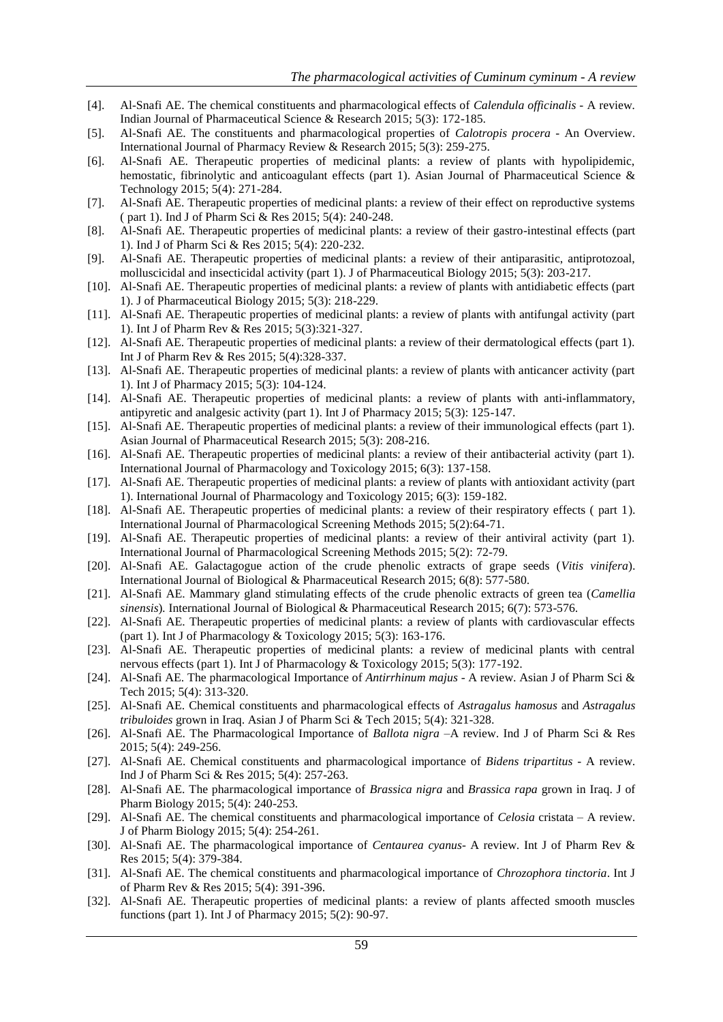- [4]. Al-Snafi AE. The chemical constituents and pharmacological effects of *Calendula officinalis -* A review*.*  Indian Journal of Pharmaceutical Science & Research 2015; 5(3): 172-185.
- [5]. Al-Snafi AE. The constituents and pharmacological properties of *Calotropis procera*  An Overview. International Journal of Pharmacy Review & Research 2015; 5(3): 259-275.
- [6]. Al-Snafi AE. Therapeutic properties of medicinal plants: a review of plants with hypolipidemic, hemostatic, fibrinolytic and anticoagulant effects (part 1). Asian Journal of Pharmaceutical Science  $\&$ Technology 2015; 5(4): 271-284.
- [7]. Al-Snafi AE. Therapeutic properties of medicinal plants: a review of their effect on reproductive systems ( part 1). Ind J of Pharm Sci & Res 2015; 5(4): 240-248.
- [8]. Al-Snafi AE. Therapeutic properties of medicinal plants: a review of their gastro-intestinal effects (part 1). Ind J of Pharm Sci & Res 2015; 5(4): 220-232.
- [9]. Al-Snafi AE. Therapeutic properties of medicinal plants: a review of their antiparasitic, antiprotozoal, molluscicidal and insecticidal activity (part 1). J of Pharmaceutical Biology 2015; 5(3): 203-217.
- [10]. Al-Snafi AE. Therapeutic properties of medicinal plants: a review of plants with antidiabetic effects (part 1). J of Pharmaceutical Biology 2015; 5(3): 218-229.
- [11]. Al-Snafi AE. Therapeutic properties of medicinal plants: a review of plants with antifungal activity (part 1). Int J of Pharm Rev & Res 2015; 5(3):321-327.
- [12]. Al-Snafi AE. Therapeutic properties of medicinal plants: a review of their dermatological effects (part 1). Int J of Pharm Rev & Res 2015; 5(4):328-337.
- [13]. Al-Snafi AE. Therapeutic properties of medicinal plants: a review of plants with anticancer activity (part 1). Int J of Pharmacy 2015; 5(3): 104-124.
- [14]. Al-Snafi AE. Therapeutic properties of medicinal plants: a review of plants with anti-inflammatory, antipyretic and analgesic activity (part 1). Int J of Pharmacy 2015; 5(3): 125-147.
- [15]. Al-Snafi AE. Therapeutic properties of medicinal plants: a review of their immunological effects (part 1). Asian Journal of Pharmaceutical Research 2015; 5(3): 208-216.
- [16]. Al-Snafi AE. Therapeutic properties of medicinal plants: a review of their antibacterial activity (part 1). International Journal of Pharmacology and Toxicology 2015; 6(3): 137-158.
- [17]. Al-Snafi AE. Therapeutic properties of medicinal plants: a review of plants with antioxidant activity (part 1). International Journal of Pharmacology and Toxicology 2015; 6(3): 159-182.
- [18]. Al-Snafi AE. Therapeutic properties of medicinal plants: a review of their respiratory effects ( part 1). International Journal of Pharmacological Screening Methods 2015; 5(2):64-71.
- [19]. Al-Snafi AE. Therapeutic properties of medicinal plants: a review of their antiviral activity (part 1). International Journal of Pharmacological Screening Methods 2015; 5(2): 72-79.
- [20]. Al-Snafi AE. Galactagogue action of the crude phenolic extracts of grape seeds (*Vitis vinifera*). International Journal of Biological & Pharmaceutical Research 2015; 6(8): 577-580.
- [21]. Al-Snafi AE. Mammary gland stimulating effects of the crude phenolic extracts of green tea (*Camellia sinensis*)*.* International Journal of Biological & Pharmaceutical Research 2015; 6(7): 573-576.
- [22]. Al-Snafi AE. Therapeutic properties of medicinal plants: a review of plants with cardiovascular effects (part 1). Int J of Pharmacology & Toxicology 2015; 5(3): 163-176.
- [23]. Al-Snafi AE. Therapeutic properties of medicinal plants: a review of medicinal plants with central nervous effects (part 1). Int J of Pharmacology & Toxicology 2015; 5(3): 177-192.
- [24]. Al-Snafi AE. The pharmacological Importance of *Antirrhinum majus -* A review. Asian J of Pharm Sci & Tech 2015; 5(4): 313-320.
- [25]. Al-Snafi AE. Chemical constituents and pharmacological effects of *Astragalus hamosus* and *Astragalus tribuloides* grown in Iraq. Asian J of Pharm Sci & Tech 2015; 5(4): 321-328.
- [26]. Al-Snafi AE. The Pharmacological Importance of *Ballota nigra* –A review. Ind J of Pharm Sci & Res 2015; 5(4): 249-256.
- [27]. Al-Snafi AE. Chemical constituents and pharmacological importance of *Bidens tripartitus*  A review. Ind J of Pharm Sci & Res 2015; 5(4): 257-263.
- [28]. Al-Snafi AE. The pharmacological importance of *Brassica nigra* and *Brassica rapa* grown in Iraq. J of Pharm Biology 2015; 5(4): 240-253.
- [29]. Al-Snafi AE. The chemical constituents and pharmacological importance of *Celosia* cristata A review. J of Pharm Biology 2015; 5(4): 254-261.
- [30]. Al-Snafi AE. The pharmacological importance of *Centaurea cyanus* A review. Int J of Pharm Rev & Res 2015; 5(4): 379-384.
- [31]. Al-Snafi AE. The chemical constituents and pharmacological importance of *Chrozophora tinctoria*. Int J of Pharm Rev & Res 2015; 5(4): 391-396.
- [32]. Al-Snafi AE. Therapeutic properties of medicinal plants: a review of plants affected smooth muscles functions (part 1). Int J of Pharmacy 2015; 5(2): 90-97.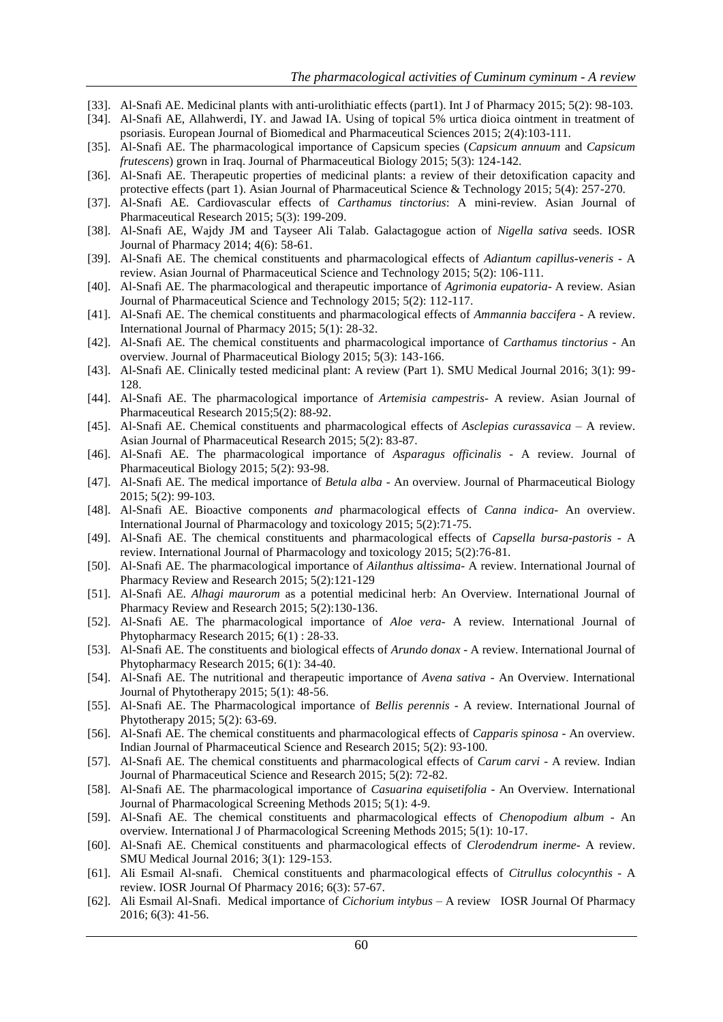- [33]. Al-Snafi AE. Medicinal plants with anti-urolithiatic effects (part1). Int J of Pharmacy 2015; 5(2): 98-103.
- [34]. Al-Snafi AE, Allahwerdi, IY. and Jawad IA. Using of topical 5% urtica dioica ointment in treatment of psoriasis. European Journal of Biomedical and Pharmaceutical Sciences 2015; 2(4):103-111.
- [35]. Al-Snafi AE. The pharmacological importance of Capsicum species (*Capsicum annuum* and *Capsicum frutescens*) grown in Iraq. Journal of Pharmaceutical Biology 2015; 5(3): 124-142.
- [36]. Al-Snafi AE. Therapeutic properties of medicinal plants: a review of their detoxification capacity and protective effects (part 1). Asian Journal of Pharmaceutical Science & Technology 2015; 5(4): 257-270.
- [37]. Al-Snafi AE. Cardiovascular effects of *Carthamus tinctorius*: A mini-review. Asian Journal of Pharmaceutical Research 2015; 5(3): 199-209.
- [38]. Al-Snafi AE, Wajdy JM and Tayseer Ali Talab. Galactagogue action of *Nigella sativa* seeds. IOSR Journal of Pharmacy 2014; 4(6): 58-61.
- [39]. Al-Snafi AE. The chemical constituents and pharmacological effects of *Adiantum capillus-veneris*  A review. Asian Journal of Pharmaceutical Science and Technology 2015; 5(2): 106-111.
- [40]. Al-Snafi AE. The pharmacological and therapeutic importance of *Agrimonia eupatoria-* A review*.* Asian Journal of Pharmaceutical Science and Technology 2015; 5(2): 112-117.
- [41]. Al-Snafi AE. The chemical constituents and pharmacological effects of *Ammannia baccifera -* A review. International Journal of Pharmacy 2015; 5(1): 28-32.
- [42]. Al-Snafi AE. The chemical constituents and pharmacological importance of *Carthamus tinctorius*  An overview. Journal of Pharmaceutical Biology 2015; 5(3): 143-166.
- [43]. Al-Snafi AE. Clinically tested medicinal plant: A review (Part 1). SMU Medical Journal 2016; 3(1): 99- 128.
- [44]. Al-Snafi AE. The pharmacological importance of *Artemisia campestris* A review. Asian Journal of Pharmaceutical Research 2015;5(2): 88-92.
- [45]. Al-Snafi AE. Chemical constituents and pharmacological effects of *Asclepias curassavica*  A review. Asian Journal of Pharmaceutical Research 2015; 5(2): 83-87.
- [46]. Al-Snafi AE. The pharmacological importance of *Asparagus officinalis*  A review. Journal of Pharmaceutical Biology 2015; 5(2): 93-98.
- [47]. Al-Snafi AE. The medical importance of *Betula alba*  An overview. Journal of Pharmaceutical Biology 2015; 5(2): 99-103.
- [48]. Al-Snafi AE. Bioactive components *and* pharmacological effects of *Canna indica* An overview. International Journal of Pharmacology and toxicology 2015; 5(2):71-75.
- [49]. Al-Snafi AE. The chemical constituents and pharmacological effects of *Capsella bursa-pastoris*  A review. International Journal of Pharmacology and toxicology 2015; 5(2):76-81.
- [50]. Al-Snafi AE. The pharmacological importance of *Ailanthus altissima-* A review. International Journal of Pharmacy Review and Research 2015; 5(2):121-129
- [51]. Al-Snafi AE. *Alhagi maurorum* as a potential medicinal herb: An Overview. International Journal of Pharmacy Review and Research 2015; 5(2):130-136.
- [52]. Al-Snafi AE. The pharmacological importance of *Aloe vera* A review*.* International Journal of Phytopharmacy Research 2015; 6(1) : 28-33.
- [53]. Al-Snafi AE. The constituents and biological effects of *Arundo donax*  A review. International Journal of Phytopharmacy Research 2015; 6(1): 34-40.
- [54]. Al-Snafi AE. The nutritional and therapeutic importance of *Avena sativa*  An Overview. International Journal of Phytotherapy 2015; 5(1): 48-56.
- [55]. Al-Snafi AE. The Pharmacological importance of *Bellis perennis*  A review. International Journal of Phytotherapy 2015; 5(2): 63-69.
- [56]. Al-Snafi AE. The chemical constituents and pharmacological effects of *Capparis spinosa -* An overview*.*  Indian Journal of Pharmaceutical Science and Research 2015; 5(2): 93-100.
- [57]. Al-Snafi AE. The chemical constituents and pharmacological effects of *Carum carvi -* A review*.* Indian Journal of Pharmaceutical Science and Research 2015; 5(2): 72-82.
- [58]. Al-Snafi AE. The pharmacological importance of *Casuarina equisetifolia*  An Overview*.* International Journal of Pharmacological Screening Methods 2015; 5(1): 4-9.
- [59]. Al-Snafi AE. The chemical constituents and pharmacological effects of *Chenopodium album -* An overview*.* International J of Pharmacological Screening Methods 2015; 5(1): 10-17.
- [60]. Al-Snafi AE. Chemical constituents and pharmacological effects of *Clerodendrum inerme-* A review. SMU Medical Journal 2016; 3(1): 129-153.
- [61]. Ali Esmail Al-snafi. Chemical constituents and pharmacological effects of *Citrullus colocynthis*  A review. IOSR Journal Of Pharmacy 2016; 6(3): 57-67.
- [62]. Ali Esmail Al-Snafi. Medical importance of *Cichorium intybus*  A review IOSR Journal Of Pharmacy 2016; 6(3): 41-56.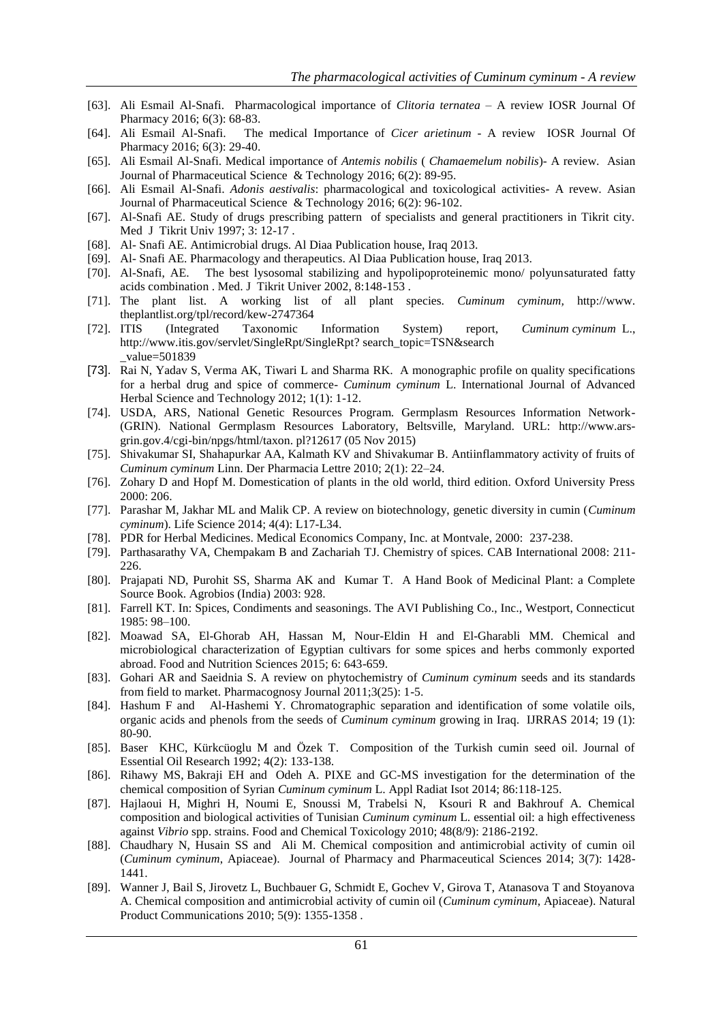- [63]. Ali Esmail Al-Snafi. Pharmacological importance of *Clitoria ternatea*  A review IOSR Journal Of Pharmacy 2016; 6(3): 68-83.
- [64]. Ali Esmail Al-Snafi. The medical Importance of *Cicer arietinum*  A review IOSR Journal Of Pharmacy 2016; 6(3): 29-40.
- [65]. Ali Esmail Al-Snafi. Medical importance of *Antemis nobilis* ( *Chamaemelum nobilis*)- A review. Asian Journal of Pharmaceutical Science & Technology 2016; 6(2): 89-95.
- [66]. Ali Esmail Al-Snafi. *Adonis aestivalis*: pharmacological and toxicological activities- A revew. Asian Journal of Pharmaceutical Science & Technology 2016; 6(2): 96-102.
- [67]. Al-Snafi AE. Study of drugs prescribing pattern of specialists and general practitioners in Tikrit city. Med J Tikrit Univ 1997; 3: 12-17 .
- [68]. Al- Snafi AE. Antimicrobial drugs. Al Diaa Publication house, Iraq 2013.
- [69]. Al- Snafi AE. Pharmacology and therapeutics. Al Diaa Publication house, Iraq 2013.
- [70]. Al-Snafi, AE. The best lysosomal stabilizing and hypolipoproteinemic mono/ polyunsaturated fatty acids combination . Med. J Tikrit Univer 2002, 8:148-153 .
- [71]. The plant list. A working list of all plant species. *Cuminum cyminum,* [http://www.](http://www/) theplantlist.org/tpl/record/kew-2747364
- [72]. ITIS (Integrated Taxonomic Information System) report, *Cuminum cyminum* [L.,](http://www.itis.gov/servlet/SingleRpt/RefRpt?search_type=author&search_id=author_id&search_id_value=41302) [http://www.itis.gov/servlet/SingleRpt/SingleRpt?](http://www.itis.gov/servlet/SingleRpt/SingleRpt) search\_topic=TSN&search \_value=501839
- [73]. Rai N, Yadav S, Verma AK, Tiwari L and Sharma RK. A monographic profile on quality specifications for a herbal drug and spice of commerce- *Cuminum cyminum* L. International Journal of Advanced Herbal Science and Technology 2012; 1(1): 1-12.
- [74]. USDA, ARS, National Genetic Resources Program. Germplasm Resources Information Network- (GRIN). National Germplasm Resources Laboratory, Beltsville, Maryland. URL: [http://www.ars](http://www.ars-grin.gov.4/cgi-bin/npgs/html/taxon)[grin.gov.4/cgi-bin/npgs/html/taxon.](http://www.ars-grin.gov.4/cgi-bin/npgs/html/taxon) pl?12617 (05 Nov 2015)
- [75]. Shivakumar SI, Shahapurkar AA, Kalmath KV and Shivakumar B. Antiinflammatory activity of fruits of *Cuminum cyminum* Linn. Der Pharmacia Lettre 2010; 2(1): 22–24.
- [76]. Zohary D and Hopf M. Domestication of plants in the old world, third edition. Oxford University Press 2000: 206.
- [77]. Parashar M, Jakhar ML and Malik CP. A review on biotechnology, genetic diversity in cumin (*Cuminum cyminum*). Life Science 2014; 4(4): L17-L34.
- [78]. PDR for Herbal Medicines. Medical Economics Company, Inc. at Montvale, 2000: 237-238.
- [79]. Parthasarathy VA, Chempakam B and Zachariah TJ. Chemistry of spices. CAB International 2008: 211- 226.
- [80]. Prajapati ND, Purohit SS, Sharma AK and Kumar T. A Hand Book of Medicinal Plant: a Complete Source Book. Agrobios (India) 2003: 928.
- [81]. Farrell KT. In: Spices, Condiments and seasonings. The AVI Publishing Co., Inc., Westport, Connecticut 1985: 98–100.
- [82]. Moawad SA, El-Ghorab AH, Hassan M, Nour-Eldin H and El-Gharabli MM. Chemical and microbiological characterization of Egyptian cultivars for some spices and herbs commonly exported abroad. Food and Nutrition Sciences 2015; 6: 643-659.
- [83]. Gohari AR and Saeidnia S. A review on phytochemistry of *Cuminum cyminum* seeds and its standards from field to market. Pharmacognosy Journal 2011;3(25): 1-5.
- [84]. Hashum F and Al-Hashemi Y. Chromatographic separation and identification of some volatile oils, organic acids and phenols from the seeds of *Cuminum cyminum* growing in Iraq. IJRRAS 2014; 19 (1): 80-90.
- [85]. Baser KHC, Kürkcüoglu M and Özek T. Composition of the Turkish cumin seed oil. Journal of Essential Oil Research 1992; 4(2): 133-138.
- [86]. [Rihawy MS,](http://www.ncbi.nlm.nih.gov/pubmed/?term=Rihawy%20MS%5BAuthor%5D&cauthor=true&cauthor_uid=24507878) [Bakraji EH](http://www.ncbi.nlm.nih.gov/pubmed/?term=Bakraji%20EH%5BAuthor%5D&cauthor=true&cauthor_uid=24507878) and [Odeh A.](http://www.ncbi.nlm.nih.gov/pubmed/?term=Odeh%20A%5BAuthor%5D&cauthor=true&cauthor_uid=24507878) PIXE and GC-MS investigation for the determination of the chemical composition of Syrian *Cuminum cyminum* L. [Appl Radiat Isot](http://www.ncbi.nlm.nih.gov/pubmed/24507878) 2014; 86:118-125.
- [87]. Hajlaoui H, Mighri H, Noumi E, Snoussi M, Trabelsi N, Ksouri R and Bakhrouf A. Chemical composition and biological activities of Tunisian *Cuminum cyminum* L. essential oil: a high effectiveness against *Vibrio* spp. strains. Food and Chemical Toxicology 2010; 48(8/9): 2186-2192.
- [88]. Chaudhary N, Husain SS and Ali M. Chemical composition and antimicrobial activity of cumin oil (*Cuminum cyminum*, Apiaceae). Journal of Pharmacy and Pharmaceutical Sciences 2014; 3(7): 1428- 1441.
- [89]. Wanner J, Bail S, Jirovetz L, Buchbauer G, Schmidt E, Gochev V, Girova T, Atanasova T and Stoyanova A. Chemical composition and antimicrobial activity of cumin oil (*Cuminum cyminum*, Apiaceae). Natural Product Communications 2010; 5(9): 1355-1358 .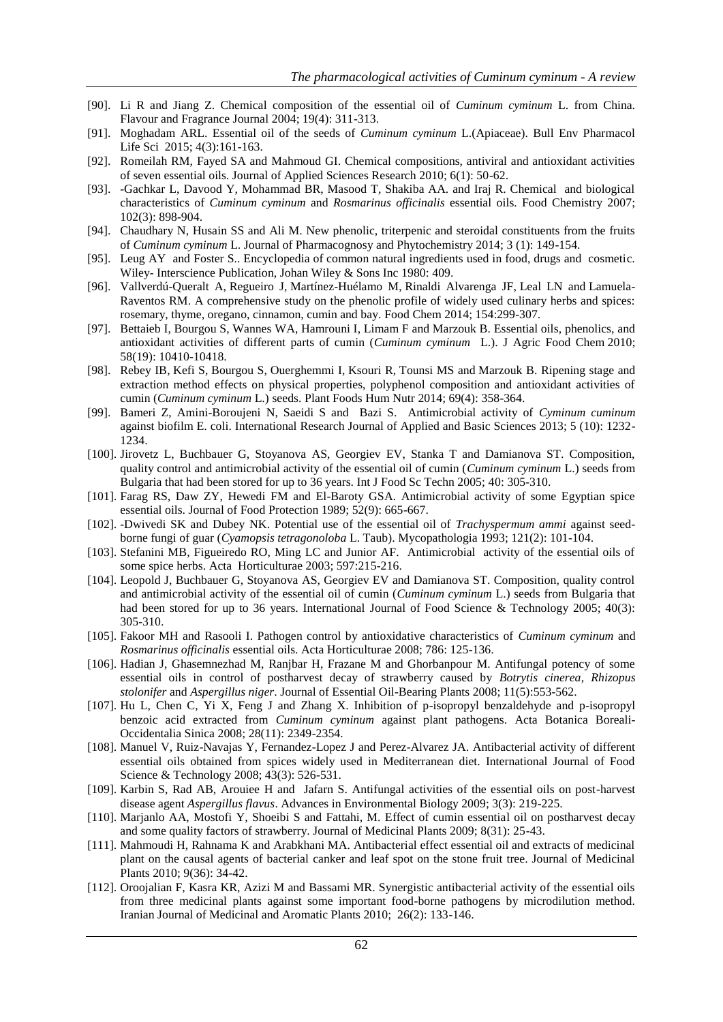- [90]. Li R and Jiang Z. Chemical composition of the essential oil of *Cuminum cyminum* L. from China. Flavour and Fragrance Journal 2004; 19(4): 311-313.
- [91]. Moghadam ARL. Essential oil of the seeds of *Cuminum cyminum* L.(Apiaceae). Bull Env Pharmacol Life Sci 2015; 4(3):161-163.
- [92]. Romeilah RM, Fayed SA and Mahmoud GI. Chemical compositions, antiviral and antioxidant activities of seven essential oils. Journal of Applied Sciences Research 2010; 6(1): 50-62.
- [93]. -Gachkar L, Davood Y, Mohammad BR, Masood T, Shakiba AA. and Iraj R. Chemical and biological characteristics of *Cuminum cyminum* and *Rosmarinus officinalis* essential oils. Food Chemistry 2007; 102(3): 898-904.
- [94]. Chaudhary N, Husain SS and Ali M. New phenolic, triterpenic and steroidal constituents from the fruits of *Cuminum cyminum* L. Journal of Pharmacognosy and Phytochemistry 2014; 3 (1): 149-154.
- [95]. Leug AY and Foster S.. Encyclopedia of common natural ingredients used in food, drugs and cosmetic*.*  Wiley- Interscience Publication, Johan Wiley & Sons Inc 1980: 409.
- [96]. [Vallverdú-Queralt A,](http://www.ncbi.nlm.nih.gov/pubmed/?term=Vallverd%C3%BA-Queralt%20A%5BAuthor%5D&cauthor=true&cauthor_uid=24518346) [Regueiro J,](http://www.ncbi.nlm.nih.gov/pubmed/?term=Regueiro%20J%5BAuthor%5D&cauthor=true&cauthor_uid=24518346) [Martínez-Huélamo M,](http://www.ncbi.nlm.nih.gov/pubmed/?term=Mart%C3%ADnez-Hu%C3%A9lamo%20M%5BAuthor%5D&cauthor=true&cauthor_uid=24518346) [Rinaldi Alvarenga JF,](http://www.ncbi.nlm.nih.gov/pubmed/?term=Rinaldi%20Alvarenga%20JF%5BAuthor%5D&cauthor=true&cauthor_uid=24518346) [Leal LN](http://www.ncbi.nlm.nih.gov/pubmed/?term=Leal%20LN%5BAuthor%5D&cauthor=true&cauthor_uid=24518346) and [Lamuela-](http://www.ncbi.nlm.nih.gov/pubmed/?term=Lamuela-Raventos%20RM%5BAuthor%5D&cauthor=true&cauthor_uid=24518346)[Raventos RM.](http://www.ncbi.nlm.nih.gov/pubmed/?term=Lamuela-Raventos%20RM%5BAuthor%5D&cauthor=true&cauthor_uid=24518346) A comprehensive study on the phenolic profile of widely used culinary herbs and spices: rosemary, thyme, oregano, cinnamon, cumin and bay[. Food Chem](http://www.ncbi.nlm.nih.gov/pubmed/24518346) 2014; 154:299-307.
- [97]. [Bettaieb I,](http://www.ncbi.nlm.nih.gov/pubmed/?term=Bettaieb%20I%5BAuthor%5D&cauthor=true&cauthor_uid=20809647) [Bourgou S,](http://www.ncbi.nlm.nih.gov/pubmed/?term=Bourgou%20S%5BAuthor%5D&cauthor=true&cauthor_uid=20809647) [Wannes WA,](http://www.ncbi.nlm.nih.gov/pubmed/?term=Wannes%20WA%5BAuthor%5D&cauthor=true&cauthor_uid=20809647) [Hamrouni I,](http://www.ncbi.nlm.nih.gov/pubmed/?term=Hamrouni%20I%5BAuthor%5D&cauthor=true&cauthor_uid=20809647) [Limam F](http://www.ncbi.nlm.nih.gov/pubmed/?term=Limam%20F%5BAuthor%5D&cauthor=true&cauthor_uid=20809647) and [Marzouk B.](http://www.ncbi.nlm.nih.gov/pubmed/?term=Marzouk%20B%5BAuthor%5D&cauthor=true&cauthor_uid=20809647) Essential oils, phenolics, and antioxidant activities of different parts of cumin (*Cuminum cyminum* L.). [J Agric Food Chem](http://www.ncbi.nlm.nih.gov/pubmed/20809647) 2010; 58(19): 10410-10418.
- [98]. [Rebey IB,](http://www.ncbi.nlm.nih.gov/pubmed/?term=Rebey%20IB%5BAuthor%5D&cauthor=true&cauthor_uid=25277369) [Kefi S,](http://www.ncbi.nlm.nih.gov/pubmed/?term=Kefi%20S%5BAuthor%5D&cauthor=true&cauthor_uid=25277369) [Bourgou S,](http://www.ncbi.nlm.nih.gov/pubmed/?term=Bourgou%20S%5BAuthor%5D&cauthor=true&cauthor_uid=25277369) [Ouerghemmi I,](http://www.ncbi.nlm.nih.gov/pubmed/?term=Ouerghemmi%20I%5BAuthor%5D&cauthor=true&cauthor_uid=25277369) [Ksouri R,](http://www.ncbi.nlm.nih.gov/pubmed/?term=Ksouri%20R%5BAuthor%5D&cauthor=true&cauthor_uid=25277369) [Tounsi MS](http://www.ncbi.nlm.nih.gov/pubmed/?term=Tounsi%20MS%5BAuthor%5D&cauthor=true&cauthor_uid=25277369) and [Marzouk B.](http://www.ncbi.nlm.nih.gov/pubmed/?term=Marzouk%20B%5BAuthor%5D&cauthor=true&cauthor_uid=25277369) Ripening stage and extraction method effects on physical properties, polyphenol composition and antioxidant activities of cumin (*Cuminum cyminum* L.) seeds. [Plant Foods Hum Nutr](http://www.ncbi.nlm.nih.gov/pubmed/25277369) 2014; 69(4): 358-364.
- [99]. Bameri Z, Amini-Boroujeni N, Saeidi S and Bazi S. Antimicrobial activity of *Cyminum cuminum*  against biofilm E. coli. International Research Journal of Applied and Basic Sciences 2013; 5 (10): 1232- 1234.
- [100]. Jirovetz L, Buchbauer G, Stoyanova AS, Georgiev EV, Stanka T and Damianova ST. Composition, quality control and antimicrobial activity of the essential oil of cumin (*Cuminum cyminum* L.) seeds from Bulgaria that had been stored for up to 36 years. Int J Food Sc Techn 2005; 40: 305-310.
- [101]. Farag RS, Daw ZY, Hewedi FM and El-Baroty GSA. Antimicrobial activity of some Egyptian spice essential oils. Journal of Food Protection 1989; 52(9): 665-667.
- [102]. -Dwivedi SK and Dubey NK. Potential use of the essential oil of *Trachyspermum ammi* against seedborne fungi of guar (*Cyamopsis tetragonoloba* L. Taub). Mycopathologia 1993; 121(2): 101-104.
- [103]. Stefanini MB, Figueiredo RO, Ming LC and Junior AF. Antimicrobial activity of the essential oils of some spice herbs. Acta Horticulturae 2003; 597:215-216.
- [104]. Leopold J, Buchbauer G, Stoyanova AS, Georgiev EV and Damianova ST. Composition, quality control and antimicrobial activity of the essential oil of cumin (*Cuminum cyminum* L.) seeds from Bulgaria that had been stored for up to 36 years. International Journal of Food Science & Technology 2005; 40(3): 305-310.
- [105]. Fakoor MH and Rasooli I. Pathogen control by antioxidative characteristics of *Cuminum cyminum* and *Rosmarinus officinalis* essential oils. Acta Horticulturae 2008; 786: 125-136.
- [106]. Hadian J, Ghasemnezhad M, Ranjbar H, Frazane M and Ghorbanpour M. Antifungal potency of some essential oils in control of postharvest decay of strawberry caused by *Botrytis cinerea*, *Rhizopus stolonifer* and *Aspergillus niger*. Journal of Essential Oil-Bearing Plants 2008; 11(5):553-562.
- [107]. Hu L, Chen C, Yi X, Feng J and Zhang X. Inhibition of p-isopropyl benzaldehyde and p-isopropyl benzoic acid extracted from *Cuminum cyminum* against plant pathogens. Acta Botanica Boreali-Occidentalia Sinica 2008; 28(11): 2349-2354.
- [108]. Manuel V, Ruiz-Navajas Y, Fernandez-Lopez J and Perez-Alvarez JA. Antibacterial activity of different essential oils obtained from spices widely used in Mediterranean diet. International Journal of Food Science & Technology 2008; 43(3): 526-531.
- [109]. Karbin S, Rad AB, Arouiee H and Jafarn S. Antifungal activities of the essential oils on post-harvest disease agent *Aspergillus flavus*. Advances in Environmental Biology 2009; 3(3): 219-225.
- [110]. Marjanlo AA, Mostofi Y, Shoeibi S and Fattahi, M. Effect of cumin essential oil on postharvest decay and some quality factors of strawberry. Journal of Medicinal Plants 2009; 8(31): 25-43.
- [111]. Mahmoudi H, Rahnama K and Arabkhani MA. Antibacterial effect essential oil and extracts of medicinal plant on the causal agents of bacterial canker and leaf spot on the stone fruit tree. Journal of Medicinal Plants 2010; 9(36): 34-42.
- [112]. Oroojalian F, Kasra KR, Azizi M and Bassami MR. Synergistic antibacterial activity of the essential oils from three medicinal plants against some important food-borne pathogens by microdilution method. Iranian Journal of Medicinal and Aromatic Plants 2010; 26(2): 133-146.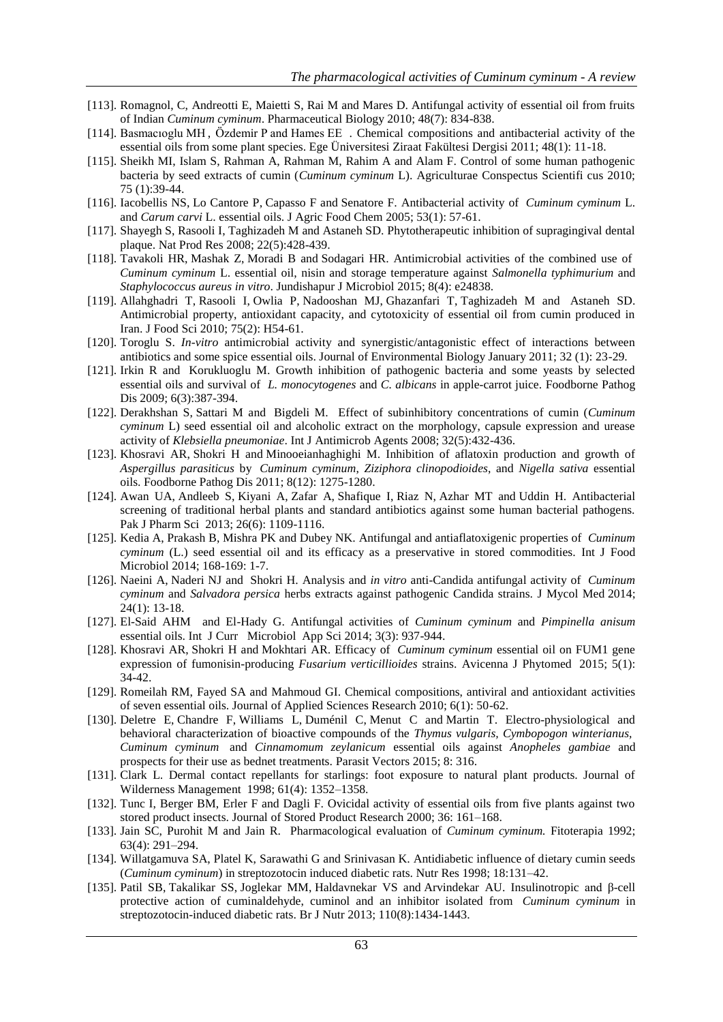- [113]. Romagnol, C, Andreotti E, Maietti S, Rai M and Mares D. Antifungal activity of essential oil from fruits of Indian *Cuminum cyminum*. Pharmaceutical Biology 2010; 48(7): 834-838.
- [114]. Basmacıoglu MH , Özdemı̇r P and Hames EE . Chemical compositions and antibacterial activity of the essential oils from some plant species. Ege Üniversitesi Ziraat Fakültesi Dergisi 2011; 48(1): 11-18.
- [115]. Sheikh MI, Islam S, Rahman A, Rahman M, Rahim A and Alam F. Control of some human pathogenic bacteria by seed extracts of cumin (*Cuminum cyminum* L). Agriculturae Conspectus Scientifi cus 2010; 75 (1):39-44.
- [116]. [Iacobellis NS,](http://www.ncbi.nlm.nih.gov/pubmed/?term=Iacobellis%20NS%5BAuthor%5D&cauthor=true&cauthor_uid=15631509) [Lo Cantore P,](http://www.ncbi.nlm.nih.gov/pubmed/?term=Lo%20Cantore%20P%5BAuthor%5D&cauthor=true&cauthor_uid=15631509) [Capasso F](http://www.ncbi.nlm.nih.gov/pubmed/?term=Capasso%20F%5BAuthor%5D&cauthor=true&cauthor_uid=15631509) and [Senatore F.](http://www.ncbi.nlm.nih.gov/pubmed/?term=Senatore%20F%5BAuthor%5D&cauthor=true&cauthor_uid=15631509) Antibacterial activity of *Cuminum cyminum* L. and *Carum carvi* L. essential oils. [J Agric Food Chem](http://www.ncbi.nlm.nih.gov/pubmed/15631509) 2005; 53(1): 57-61.
- [117]. [Shayegh S,](http://www.ncbi.nlm.nih.gov/pubmed/?term=Shayegh%20S%5BAuthor%5D&cauthor=true&cauthor_uid=18404563) [Rasooli I,](http://www.ncbi.nlm.nih.gov/pubmed/?term=Rasooli%20I%5BAuthor%5D&cauthor=true&cauthor_uid=18404563) [Taghizadeh M](http://www.ncbi.nlm.nih.gov/pubmed/?term=Taghizadeh%20M%5BAuthor%5D&cauthor=true&cauthor_uid=18404563) and [Astaneh SD.](http://www.ncbi.nlm.nih.gov/pubmed/?term=Astaneh%20SD%5BAuthor%5D&cauthor=true&cauthor_uid=18404563) Phytotherapeutic inhibition of supragingival dental plaque[. Nat Prod Res](http://www.ncbi.nlm.nih.gov/pubmed/18404563) 2008; 22(5):428-439.
- [118]. [Tavakoli HR,](http://www.ncbi.nlm.nih.gov/pubmed/?term=Tavakoli%20HR%5BAuthor%5D&cauthor=true&cauthor_uid=26034554) [Mashak Z,](http://www.ncbi.nlm.nih.gov/pubmed/?term=Mashak%20Z%5BAuthor%5D&cauthor=true&cauthor_uid=26034554) [Moradi B](http://www.ncbi.nlm.nih.gov/pubmed/?term=Moradi%20B%5BAuthor%5D&cauthor=true&cauthor_uid=26034554) and [Sodagari HR.](http://www.ncbi.nlm.nih.gov/pubmed/?term=Sodagari%20HR%5BAuthor%5D&cauthor=true&cauthor_uid=26034554) Antimicrobial activities of the combined use of *Cuminum cyminum* L. essential oil, nisin and storage temperature against *Salmonella typhimurium* and *Staphylococcus aureus in vitro*[. Jundishapur J Microbiol](http://www.ncbi.nlm.nih.gov/pubmed/26034554) 2015; 8(4): e24838.
- [119]. [Allahghadri T,](http://www.ncbi.nlm.nih.gov/pubmed/?term=Allahghadri%20T%5BAuthor%5D&cauthor=true&cauthor_uid=20492235) [Rasooli I,](http://www.ncbi.nlm.nih.gov/pubmed/?term=Rasooli%20I%5BAuthor%5D&cauthor=true&cauthor_uid=20492235) [Owlia P,](http://www.ncbi.nlm.nih.gov/pubmed/?term=Owlia%20P%5BAuthor%5D&cauthor=true&cauthor_uid=20492235) [Nadooshan MJ,](http://www.ncbi.nlm.nih.gov/pubmed/?term=Nadooshan%20MJ%5BAuthor%5D&cauthor=true&cauthor_uid=20492235) [Ghazanfari T,](http://www.ncbi.nlm.nih.gov/pubmed/?term=Ghazanfari%20T%5BAuthor%5D&cauthor=true&cauthor_uid=20492235) [Taghizadeh M](http://www.ncbi.nlm.nih.gov/pubmed/?term=Taghizadeh%20M%5BAuthor%5D&cauthor=true&cauthor_uid=20492235) and [Astaneh SD.](http://www.ncbi.nlm.nih.gov/pubmed/?term=Astaneh%20SD%5BAuthor%5D&cauthor=true&cauthor_uid=20492235) Antimicrobial property, antioxidant capacity, and cytotoxicity of essential oil from cumin produced in Iran. [J Food Sci](http://www.ncbi.nlm.nih.gov/pubmed/20492235) 2010; 75(2): H54-61.
- [120]. Toroglu S. *In-vitro* antimicrobial activity and synergistic/antagonistic effect of interactions between antibiotics and some spice essential oils. Journal of Environmental Biology January 2011; 32 (1): 23-29.
- [121]. [Irkin R](http://www.ncbi.nlm.nih.gov/pubmed/?term=Irkin%20R%5BAuthor%5D&cauthor=true&cauthor_uid=19278342) and [Korukluoglu M.](http://www.ncbi.nlm.nih.gov/pubmed/?term=Korukluoglu%20M%5BAuthor%5D&cauthor=true&cauthor_uid=19278342) Growth inhibition of pathogenic bacteria and some yeasts by selected essential oils and survival of *L. monocytogenes* and *C. albicans* in apple-carrot juice. [Foodborne Pathog](http://www.ncbi.nlm.nih.gov/pubmed/19278342)  [Dis](http://www.ncbi.nlm.nih.gov/pubmed/19278342) 2009; 6(3):387-394.
- [122]. [Derakhshan S,](http://www.ncbi.nlm.nih.gov/pubmed/?term=Derakhshan%20S%5BAuthor%5D&cauthor=true&cauthor_uid=18715764) [Sattari M](http://www.ncbi.nlm.nih.gov/pubmed/?term=Sattari%20M%5BAuthor%5D&cauthor=true&cauthor_uid=18715764) and [Bigdeli M.](http://www.ncbi.nlm.nih.gov/pubmed/?term=Bigdeli%20M%5BAuthor%5D&cauthor=true&cauthor_uid=18715764) Effect of subinhibitory concentrations of cumin (*Cuminum cyminum* L) seed essential oil and alcoholic extract on the morphology, capsule expression and urease activity of *Klebsiella pneumoniae*. [Int J Antimicrob Agents](http://www.ncbi.nlm.nih.gov/pubmed/18715764) 2008; 32(5):432-436.
- [123]. [Khosravi AR,](http://www.ncbi.nlm.nih.gov/pubmed/?term=Khosravi%20AR%5BAuthor%5D&cauthor=true&cauthor_uid=21861703) [Shokri H](http://www.ncbi.nlm.nih.gov/pubmed/?term=Shokri%20H%5BAuthor%5D&cauthor=true&cauthor_uid=21861703) and [Minooeianhaghighi M.](http://www.ncbi.nlm.nih.gov/pubmed/?term=Minooeianhaghighi%20M%5BAuthor%5D&cauthor=true&cauthor_uid=21861703) Inhibition of aflatoxin production and growth of *Aspergillus parasiticus* by *Cuminum cyminum*, *Ziziphora clinopodioides*, and *Nigella sativa* essential oils. [Foodborne Pathog Dis](http://www.ncbi.nlm.nih.gov/pubmed/21861703) 2011; 8(12): 1275-1280.
- [124]. [Awan UA,](http://www.ncbi.nlm.nih.gov/pubmed/?term=Awan%20UA%5BAuthor%5D&cauthor=true&cauthor_uid=24191314) [Andleeb S,](http://www.ncbi.nlm.nih.gov/pubmed/?term=Andleeb%20S%5BAuthor%5D&cauthor=true&cauthor_uid=24191314) [Kiyani A,](http://www.ncbi.nlm.nih.gov/pubmed/?term=Kiyani%20A%5BAuthor%5D&cauthor=true&cauthor_uid=24191314) [Zafar A,](http://www.ncbi.nlm.nih.gov/pubmed/?term=Zafar%20A%5BAuthor%5D&cauthor=true&cauthor_uid=24191314) [Shafique I,](http://www.ncbi.nlm.nih.gov/pubmed/?term=Shafique%20I%5BAuthor%5D&cauthor=true&cauthor_uid=24191314) [Riaz N,](http://www.ncbi.nlm.nih.gov/pubmed/?term=Riaz%20N%5BAuthor%5D&cauthor=true&cauthor_uid=24191314) [Azhar MT](http://www.ncbi.nlm.nih.gov/pubmed/?term=Azhar%20MT%5BAuthor%5D&cauthor=true&cauthor_uid=24191314) and [Uddin H.](http://www.ncbi.nlm.nih.gov/pubmed/?term=Uddin%20H%5BAuthor%5D&cauthor=true&cauthor_uid=24191314) Antibacterial screening of traditional herbal plants and standard antibiotics against some human bacterial pathogens. [Pak J Pharm Sci](http://www.ncbi.nlm.nih.gov/pubmed/24191314) 2013; 26(6): 1109-1116.
- [125]. [Kedia A,](http://www.ncbi.nlm.nih.gov/pubmed/?term=Kedia%20A%5BAuthor%5D&cauthor=true&cauthor_uid=24211773) [Prakash B,](http://www.ncbi.nlm.nih.gov/pubmed/?term=Prakash%20B%5BAuthor%5D&cauthor=true&cauthor_uid=24211773) [Mishra PK](http://www.ncbi.nlm.nih.gov/pubmed/?term=Mishra%20PK%5BAuthor%5D&cauthor=true&cauthor_uid=24211773) and [Dubey NK.](http://www.ncbi.nlm.nih.gov/pubmed/?term=Dubey%20NK%5BAuthor%5D&cauthor=true&cauthor_uid=24211773) Antifungal and antiaflatoxigenic properties of *Cuminum cyminum* (L.) seed essential oil and its efficacy as a preservative in stored commodities. [Int J Food](http://www.ncbi.nlm.nih.gov/pubmed/24211773)  [Microbiol](http://www.ncbi.nlm.nih.gov/pubmed/24211773) 2014; 168-169: 1-7.
- [126]. [Naeini A,](http://www.ncbi.nlm.nih.gov/pubmed/?term=Naeini%20A%5BAuthor%5D&cauthor=true&cauthor_uid=24210587) [Naderi NJ](http://www.ncbi.nlm.nih.gov/pubmed/?term=Naderi%20NJ%5BAuthor%5D&cauthor=true&cauthor_uid=24210587) and [Shokri H.](http://www.ncbi.nlm.nih.gov/pubmed/?term=Shokri%20H%5BAuthor%5D&cauthor=true&cauthor_uid=24210587) Analysis and *in vitro* anti-Candida antifungal activity of *Cuminum cyminum* and *Salvadora persica* herbs extracts against pathogenic Candida strains. [J Mycol Med](http://www.ncbi.nlm.nih.gov/pubmed/24210587) 2014; 24(1): 13-18.
- [127]. El-Said AHM and El-Hady G. Antifungal activities of *Cuminum cyminum* and *Pimpinella anisum* essential oils. Int J Curr Microbiol App Sci 2014; 3(3): 937-944.
- [128]. [Khosravi AR,](http://www.ncbi.nlm.nih.gov/pubmed/?term=Khosravi%20AR%5BAuthor%5D&cauthor=true&cauthor_uid=25767755) [Shokri H](http://www.ncbi.nlm.nih.gov/pubmed/?term=Shokri%20H%5BAuthor%5D&cauthor=true&cauthor_uid=25767755) and [Mokhtari AR.](http://www.ncbi.nlm.nih.gov/pubmed/?term=Mokhtari%20AR%5BAuthor%5D&cauthor=true&cauthor_uid=25767755) Efficacy of *Cuminum cyminum* essential oil on FUM1 gene expression of fumonisin-producing *Fusarium verticillioides* strains. [Avicenna J Phytomed](http://www.ncbi.nlm.nih.gov/pubmed/25767755) 2015; 5(1): 34-42.
- [129]. Romeilah RM, Fayed SA and Mahmoud GI. Chemical compositions, antiviral and antioxidant activities of seven essential oils. Journal of Applied Sciences Research 2010; 6(1): 50-62.
- [130]. [Deletre E,](http://www.ncbi.nlm.nih.gov/pubmed/?term=Deletre%20E%5BAuthor%5D&cauthor=true&cauthor_uid=26063119) [Chandre F,](http://www.ncbi.nlm.nih.gov/pubmed/?term=Chandre%20F%5BAuthor%5D&cauthor=true&cauthor_uid=26063119) [Williams L,](http://www.ncbi.nlm.nih.gov/pubmed/?term=Williams%20L%5BAuthor%5D&cauthor=true&cauthor_uid=26063119) [Duménil C,](http://www.ncbi.nlm.nih.gov/pubmed/?term=Dum%C3%A9nil%20C%5BAuthor%5D&cauthor=true&cauthor_uid=26063119) [Menut C](http://www.ncbi.nlm.nih.gov/pubmed/?term=Menut%20C%5BAuthor%5D&cauthor=true&cauthor_uid=26063119) and [Martin T.](http://www.ncbi.nlm.nih.gov/pubmed/?term=Martin%20T%5BAuthor%5D&cauthor=true&cauthor_uid=26063119) Electro-physiological and behavioral characterization of bioactive compounds of the *Thymus vulgaris, Cymbopogon winterianus, Cuminum cyminum* and *Cinnamomum zeylanicum* essential oils against *Anopheles gambiae* and prospects for their use as bednet treatments. [Parasit Vectors](http://www.ncbi.nlm.nih.gov/pubmed/26063119) 2015; 8: 316.
- [131]. Clark L. Dermal contact repellants for starlings: foot exposure to natural plant products. Journal of Wilderness Management 1998; 61(4): 1352–1358.
- [132]. Tunc I, Berger BM, Erler F and Dagli F. Ovicidal activity of essential oils from five plants against two stored product insects. Journal of Stored Product Research 2000; 36: 161–168.
- [133]. Jain SC, Purohit M and Jain R. Pharmacological evaluation of *Cuminum cyminum.* Fitoterapia 1992; 63(4): 291–294.
- [134]. Willatgamuva SA, Platel K, Sarawathi G and Srinivasan K. Antidiabetic influence of dietary cumin seeds (*Cuminum cyminum*) in streptozotocin induced diabetic rats. Nutr Res 1998; 18:131–42.
- [135]. [Patil SB,](http://www.ncbi.nlm.nih.gov/pubmed/?term=Patil%20SB%5BAuthor%5D&cauthor=true&cauthor_uid=23507295) [Takalikar SS,](http://www.ncbi.nlm.nih.gov/pubmed/?term=Takalikar%20SS%5BAuthor%5D&cauthor=true&cauthor_uid=23507295) [Joglekar MM,](http://www.ncbi.nlm.nih.gov/pubmed/?term=Joglekar%20MM%5BAuthor%5D&cauthor=true&cauthor_uid=23507295) [Haldavnekar VS](http://www.ncbi.nlm.nih.gov/pubmed/?term=Haldavnekar%20VS%5BAuthor%5D&cauthor=true&cauthor_uid=23507295) and [Arvindekar AU.](http://www.ncbi.nlm.nih.gov/pubmed/?term=Arvindekar%20AU%5BAuthor%5D&cauthor=true&cauthor_uid=23507295) Insulinotropic and β-cell protective action of cuminaldehyde, cuminol and an inhibitor isolated from *Cuminum cyminum* in streptozotocin-induced diabetic rats[. Br J Nutr](http://www.ncbi.nlm.nih.gov/pubmed/23507295) 2013; 110(8):1434-1443.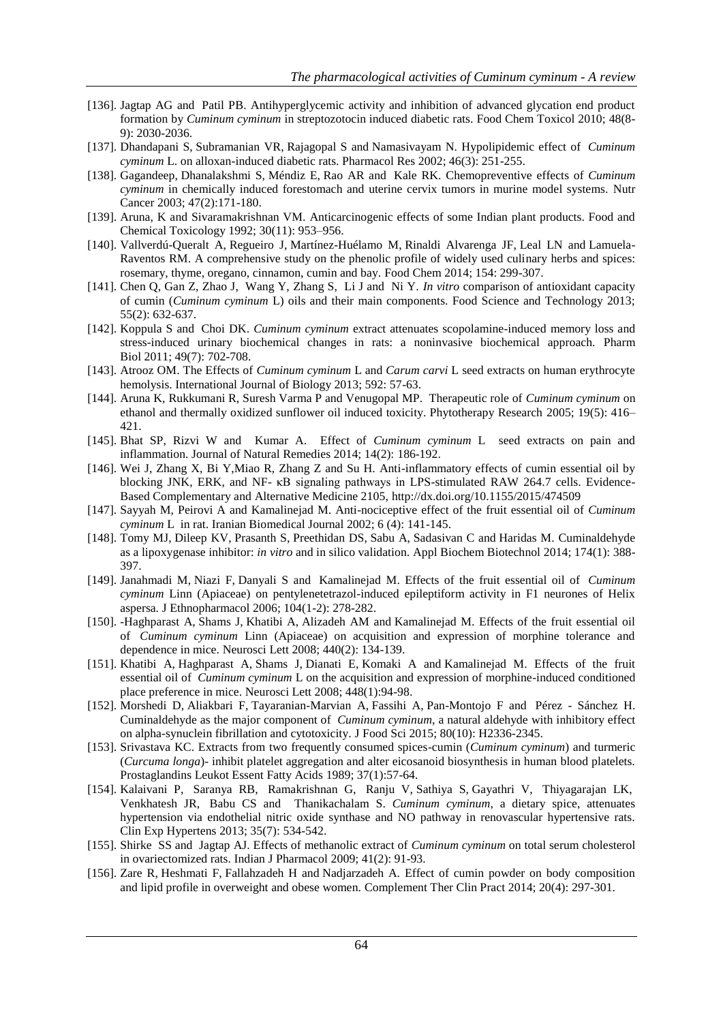- [136]. [Jagtap AG](http://www.ncbi.nlm.nih.gov/pubmed/?term=Jagtap%20AG%5BAuthor%5D&cauthor=true&cauthor_uid=20451573) and [Patil PB.](http://www.ncbi.nlm.nih.gov/pubmed/?term=Patil%20PB%5BAuthor%5D&cauthor=true&cauthor_uid=20451573) Antihyperglycemic activity and inhibition of advanced glycation end product formation by *Cuminum cyminum* in streptozotocin induced diabetic rats. [Food Chem Toxicol](http://www.ncbi.nlm.nih.gov/pubmed/20451573) 2010; 48(8- 9): 2030-2036.
- [137]. [Dhandapani S,](http://www.ncbi.nlm.nih.gov/pubmed/?term=Dhandapani%20S%5BAuthor%5D&cauthor=true&cauthor_uid=12220968) [Subramanian VR,](http://www.ncbi.nlm.nih.gov/pubmed/?term=Subramanian%20VR%5BAuthor%5D&cauthor=true&cauthor_uid=12220968) [Rajagopal S](http://www.ncbi.nlm.nih.gov/pubmed/?term=Rajagopal%20S%5BAuthor%5D&cauthor=true&cauthor_uid=12220968) and [Namasivayam N.](http://www.ncbi.nlm.nih.gov/pubmed/?term=Namasivayam%20N%5BAuthor%5D&cauthor=true&cauthor_uid=12220968) Hypolipidemic effect of *Cuminum cyminum* L. on alloxan-induced diabetic rats[. Pharmacol Res](http://www.ncbi.nlm.nih.gov/pubmed/12220968) 2002; 46(3): 251-255.
- [138]. [Gagandeep,](http://www.ncbi.nlm.nih.gov/pubmed/?term=Gagandeep%5BAuthor%5D&cauthor=true&cauthor_uid=15087270) [Dhanalakshmi S,](http://www.ncbi.nlm.nih.gov/pubmed/?term=Dhanalakshmi%20S%5BAuthor%5D&cauthor=true&cauthor_uid=15087270) [Méndiz E,](http://www.ncbi.nlm.nih.gov/pubmed/?term=M%C3%A9ndiz%20E%5BAuthor%5D&cauthor=true&cauthor_uid=15087270) [Rao AR](http://www.ncbi.nlm.nih.gov/pubmed/?term=Rao%20AR%5BAuthor%5D&cauthor=true&cauthor_uid=15087270) and [Kale RK.](http://www.ncbi.nlm.nih.gov/pubmed/?term=Kale%20RK%5BAuthor%5D&cauthor=true&cauthor_uid=15087270) Chemopreventive effects of *Cuminum cyminum* in chemically induced forestomach and uterine cervix tumors in murine model systems. [Nutr](http://www.ncbi.nlm.nih.gov/pubmed/15087270)  [Cancer](http://www.ncbi.nlm.nih.gov/pubmed/15087270) 2003; 47(2):171-180.
- [139]. Aruna, K and Sivaramakrishnan VM. Anticarcinogenic effects of some Indian plant products. Food and Chemical Toxicology 1992; 30(11): 953–956.
- [140]. [Vallverdú-Queralt A,](http://www.ncbi.nlm.nih.gov/pubmed/?term=Vallverd%C3%BA-Queralt%20A%5BAuthor%5D&cauthor=true&cauthor_uid=24518346) [Regueiro J,](http://www.ncbi.nlm.nih.gov/pubmed/?term=Regueiro%20J%5BAuthor%5D&cauthor=true&cauthor_uid=24518346) [Martínez-Huélamo M,](http://www.ncbi.nlm.nih.gov/pubmed/?term=Mart%C3%ADnez-Hu%C3%A9lamo%20M%5BAuthor%5D&cauthor=true&cauthor_uid=24518346) [Rinaldi Alvarenga JF,](http://www.ncbi.nlm.nih.gov/pubmed/?term=Rinaldi%20Alvarenga%20JF%5BAuthor%5D&cauthor=true&cauthor_uid=24518346) [Leal LN](http://www.ncbi.nlm.nih.gov/pubmed/?term=Leal%20LN%5BAuthor%5D&cauthor=true&cauthor_uid=24518346) and [Lamuela-](http://www.ncbi.nlm.nih.gov/pubmed/?term=Lamuela-Raventos%20RM%5BAuthor%5D&cauthor=true&cauthor_uid=24518346)[Raventos RM.](http://www.ncbi.nlm.nih.gov/pubmed/?term=Lamuela-Raventos%20RM%5BAuthor%5D&cauthor=true&cauthor_uid=24518346) A comprehensive study on the phenolic profile of widely used culinary herbs and spices: rosemary, thyme, oregano, cinnamon, cumin and bay. [Food Chem](http://www.ncbi.nlm.nih.gov/pubmed/24518346) 2014; 154: 299-307.
- [141]. Chen Q, Gan Z, Zhao J, Wang Y, Zhang S, Li J and Ni Y. *In vitro* comparison of antioxidant capacity of cumin (*Cuminum cyminum* L) oils and their main components. Food Science and Technology 2013; 55(2): 632-637.
- [142]. [Koppula S](http://www.ncbi.nlm.nih.gov/pubmed/?term=Koppula%20S%5BAuthor%5D&cauthor=true&cauthor_uid=21639683) and [Choi DK.](http://www.ncbi.nlm.nih.gov/pubmed/?term=Choi%20DK%5BAuthor%5D&cauthor=true&cauthor_uid=21639683) *Cuminum cyminum* extract attenuates scopolamine-induced memory loss and stress-induced urinary biochemical changes in rats: a noninvasive biochemical approach. [Pharm](http://www.ncbi.nlm.nih.gov/pubmed/21639683)  [Biol](http://www.ncbi.nlm.nih.gov/pubmed/21639683) 2011; 49(7): 702-708.
- [143]. Atrooz OM. The Effects of *Cuminum cyminum* L and *Carum carvi* L seed extracts on human erythrocyte hemolysis. International Journal of Biology 2013; 592: 57-63.
- [144]. Aruna K, Rukkumani R, Suresh Varma P and Venugopal MP. Therapeutic role of *Cuminum cyminum* on ethanol and thermally oxidized sunflower oil induced toxicity. Phytotherapy Research 2005; 19(5): 416– 421.
- [145]. Bhat SP, Rizvi W and Kumar A. Effect of *Cuminum cyminum* L seed extracts on pain and inflammation. Journal of Natural Remedies 2014; 14(2): 186-192.
- [146]. Wei J, Zhang X, Bi Y,Miao R, Zhang Z and Su H. Anti-inflammatory effects of cumin essential oil by blocking JNK, ERK, and NF- κB signaling pathways in LPS-stimulated RAW 264.7 cells. Evidence-Based Complementary and Alternative Medicine 2105,<http://dx.doi.org/10.1155/2015/474509>
- [147]. Sayyah M, Peirovi A and Kamalinejad M. Anti-nociceptive effect of the fruit essential oil of *Cuminum cyminum* Lin rat. Iranian Biomedical Journal 2002; 6 (4): 141-145.
- [148]. [Tomy MJ,](http://www.ncbi.nlm.nih.gov/pubmed/?term=Tomy%20MJ%5BAuthor%5D&cauthor=true&cauthor_uid=25080377) [Dileep KV,](http://www.ncbi.nlm.nih.gov/pubmed/?term=Dileep%20KV%5BAuthor%5D&cauthor=true&cauthor_uid=25080377) [Prasanth S,](http://www.ncbi.nlm.nih.gov/pubmed/?term=Prasanth%20S%5BAuthor%5D&cauthor=true&cauthor_uid=25080377) [Preethidan DS,](http://www.ncbi.nlm.nih.gov/pubmed/?term=Preethidan%20DS%5BAuthor%5D&cauthor=true&cauthor_uid=25080377) [Sabu A,](http://www.ncbi.nlm.nih.gov/pubmed/?term=Sabu%20A%5BAuthor%5D&cauthor=true&cauthor_uid=25080377) [Sadasivan C](http://www.ncbi.nlm.nih.gov/pubmed/?term=Sadasivan%20C%5BAuthor%5D&cauthor=true&cauthor_uid=25080377) and [Haridas M.](http://www.ncbi.nlm.nih.gov/pubmed/?term=Haridas%20M%5BAuthor%5D&cauthor=true&cauthor_uid=25080377) Cuminaldehyde as a lipoxygenase inhibitor: *in vitro* and in silico validation. [Appl Biochem Biotechnol](http://www.ncbi.nlm.nih.gov/pubmed/25080377) 2014; 174(1): 388- 397.
- [149]. [Janahmadi M,](http://www.ncbi.nlm.nih.gov/pubmed/?term=Janahmadi%20M%5BAuthor%5D&cauthor=true&cauthor_uid=16226415) [Niazi F,](http://www.ncbi.nlm.nih.gov/pubmed/?term=Niazi%20F%5BAuthor%5D&cauthor=true&cauthor_uid=16226415) [Danyali S](http://www.ncbi.nlm.nih.gov/pubmed/?term=Danyali%20S%5BAuthor%5D&cauthor=true&cauthor_uid=16226415) and [Kamalinejad M.](http://www.ncbi.nlm.nih.gov/pubmed/?term=Kamalinejad%20M%5BAuthor%5D&cauthor=true&cauthor_uid=16226415) Effects of the fruit essential oil of *Cuminum cyminum* Linn (Apiaceae) on pentylenetetrazol-induced epileptiform activity in F1 neurones of Helix aspersa. [J Ethnopharmacol](http://www.ncbi.nlm.nih.gov/pubmed/16226415) 2006; 104(1-2): 278-282.
- [150]. [-Haghparast A,](http://www.ncbi.nlm.nih.gov/pubmed/?term=Haghparast%20A%5BAuthor%5D&cauthor=true&cauthor_uid=18550281) [Shams J,](http://www.ncbi.nlm.nih.gov/pubmed/?term=Shams%20J%5BAuthor%5D&cauthor=true&cauthor_uid=18550281) [Khatibi A,](http://www.ncbi.nlm.nih.gov/pubmed/?term=Khatibi%20A%5BAuthor%5D&cauthor=true&cauthor_uid=18550281) [Alizadeh AM](http://www.ncbi.nlm.nih.gov/pubmed/?term=Alizadeh%20AM%5BAuthor%5D&cauthor=true&cauthor_uid=18550281) and [Kamalinejad M.](http://www.ncbi.nlm.nih.gov/pubmed/?term=Kamalinejad%20M%5BAuthor%5D&cauthor=true&cauthor_uid=18550281) Effects of the fruit essential oil of *Cuminum cyminum* Linn (Apiaceae) on acquisition and expression of morphine tolerance and dependence in mice. [Neurosci Lett](http://www.ncbi.nlm.nih.gov/pubmed/18550281) 2008; 440(2): 134-139.
- [151]. [Khatibi A,](http://www.ncbi.nlm.nih.gov/pubmed/?term=Khatibi%20A%5BAuthor%5D&cauthor=true&cauthor_uid=18950682) [Haghparast A,](http://www.ncbi.nlm.nih.gov/pubmed/?term=Haghparast%20A%5BAuthor%5D&cauthor=true&cauthor_uid=18950682) [Shams J,](http://www.ncbi.nlm.nih.gov/pubmed/?term=Shams%20J%5BAuthor%5D&cauthor=true&cauthor_uid=18950682) [Dianati E,](http://www.ncbi.nlm.nih.gov/pubmed/?term=Dianati%20E%5BAuthor%5D&cauthor=true&cauthor_uid=18950682) [Komaki A](http://www.ncbi.nlm.nih.gov/pubmed/?term=Komaki%20A%5BAuthor%5D&cauthor=true&cauthor_uid=18950682) and [Kamalinejad M.](http://www.ncbi.nlm.nih.gov/pubmed/?term=Kamalinejad%20M%5BAuthor%5D&cauthor=true&cauthor_uid=18950682) Effects of the fruit essential oil of *Cuminum cyminum* L on the acquisition and expression of morphine-induced conditioned place preference in mice. [Neurosci Lett](http://www.ncbi.nlm.nih.gov/pubmed/18950682) 2008; 448(1):94-98.
- [152]. [Morshedi D,](http://www.ncbi.nlm.nih.gov/pubmed/?term=Morshedi%20D%5BAuthor%5D&cauthor=true&cauthor_uid=26351865) [Aliakbari F,](http://www.ncbi.nlm.nih.gov/pubmed/?term=Aliakbari%20F%5BAuthor%5D&cauthor=true&cauthor_uid=26351865) [Tayaranian-Marvian A,](http://www.ncbi.nlm.nih.gov/pubmed/?term=Tayaranian-Marvian%20A%5BAuthor%5D&cauthor=true&cauthor_uid=26351865) [Fassihi A,](http://www.ncbi.nlm.nih.gov/pubmed/?term=Fassihi%20A%5BAuthor%5D&cauthor=true&cauthor_uid=26351865) [Pan-Montojo F](http://www.ncbi.nlm.nih.gov/pubmed/?term=Pan-Montojo%20F%5BAuthor%5D&cauthor=true&cauthor_uid=26351865) and Pérez [Sánchez H.](http://www.ncbi.nlm.nih.gov/pubmed/?term=P%C3%A9rez-S%C3%A1nchez%20H%5BAuthor%5D&cauthor=true&cauthor_uid=26351865) Cuminaldehyde as the major component of *Cuminum cyminum*, a natural aldehyde with inhibitory effect on alpha-synuclein fibrillation and cytotoxicity. [J Food Sci](http://www.ncbi.nlm.nih.gov/pubmed/26351865) 2015; 80(10): H2336-2345.
- [153]. [Srivastava KC.](http://www.ncbi.nlm.nih.gov/pubmed/?term=Srivastava%20KC%5BAuthor%5D&cauthor=true&cauthor_uid=2503839) Extracts from two frequently consumed spices-cumin (*Cuminum cyminum*) and turmeric (*Curcuma longa*)- inhibit platelet aggregation and alter eicosanoid biosynthesis in human blood platelets. [Prostaglandins Leukot Essent Fatty Acids](http://www.ncbi.nlm.nih.gov/pubmed/2503839) 1989; 37(1):57-64.
- [154]. [Kalaivani P,](http://informahealthcare.com/action/doSearch?action=runSearch&type=advanced&result=true&prevSearch=%2Bauthorsfield%3A%28Kalaivani%2C+P%29) [Saranya RB,](http://informahealthcare.com/action/doSearch?action=runSearch&type=advanced&result=true&prevSearch=%2Bauthorsfield%3A%28Kalaivani%2C+P%29) [Ramakrishnan G,](http://informahealthcare.com/action/doSearch?action=runSearch&type=advanced&result=true&prevSearch=%2Bauthorsfield%3A%28Ramakrishnan%2C+G%29) [Ranju V,](http://informahealthcare.com/action/doSearch?action=runSearch&type=advanced&result=true&prevSearch=%2Bauthorsfield%3A%28Ramakrishnan%2C+G%29) [Sathiya S,](http://informahealthcare.com/action/doSearch?action=runSearch&type=advanced&result=true&prevSearch=%2Bauthorsfield%3A%28Sathiya%2C+S%29) [Gayathri V,](http://informahealthcare.com/action/doSearch?action=runSearch&type=advanced&result=true&prevSearch=%2Bauthorsfield%3A%28Sathiya%2C+S%29) [Thiyagarajan LK,](http://informahealthcare.com/action/doSearch?action=runSearch&type=advanced&result=true&prevSearch=%2Bauthorsfield%3A%28Thiyagarajan%2C+L+K%29) Venkhatesh JR, [Babu CS and Thanikachalam](http://informahealthcare.com/action/doSearch?action=runSearch&type=advanced&result=true&prevSearch=%2Bauthorsfield%3A%28Babu%2C+C+S%29) S. *Cuminum cyminum*, a dietary spice, attenuates hypertension via endothelial nitric oxide synthase and NO pathway in renovascular hypertensive rats. [Clin Exp Hypertens](http://www.ncbi.nlm.nih.gov/pubmed/23402543) 2013; 35(7): 534-542.
- [155]. Shirke SS and Jagtap AJ. Effects of methanolic extract of *Cuminum cyminum* on total serum cholesterol in ovariectomized rats. Indian J Pharmacol 2009; 41(2): 91-93.
- [156]. [Zare R,](http://www.ncbi.nlm.nih.gov/pubmed/?term=Zare%20R%5BAuthor%5D&cauthor=true&cauthor_uid=25456022) [Heshmati F,](http://www.ncbi.nlm.nih.gov/pubmed/?term=Heshmati%20F%5BAuthor%5D&cauthor=true&cauthor_uid=25456022) [Fallahzadeh H](http://www.ncbi.nlm.nih.gov/pubmed/?term=Fallahzadeh%20H%5BAuthor%5D&cauthor=true&cauthor_uid=25456022) and [Nadjarzadeh A.](http://www.ncbi.nlm.nih.gov/pubmed/?term=Nadjarzadeh%20A%5BAuthor%5D&cauthor=true&cauthor_uid=25456022) Effect of cumin powder on body composition and lipid profile in overweight and obese women. [Complement Ther Clin Pract](http://www.ncbi.nlm.nih.gov/pubmed/25456022) 2014; 20(4): 297-301.